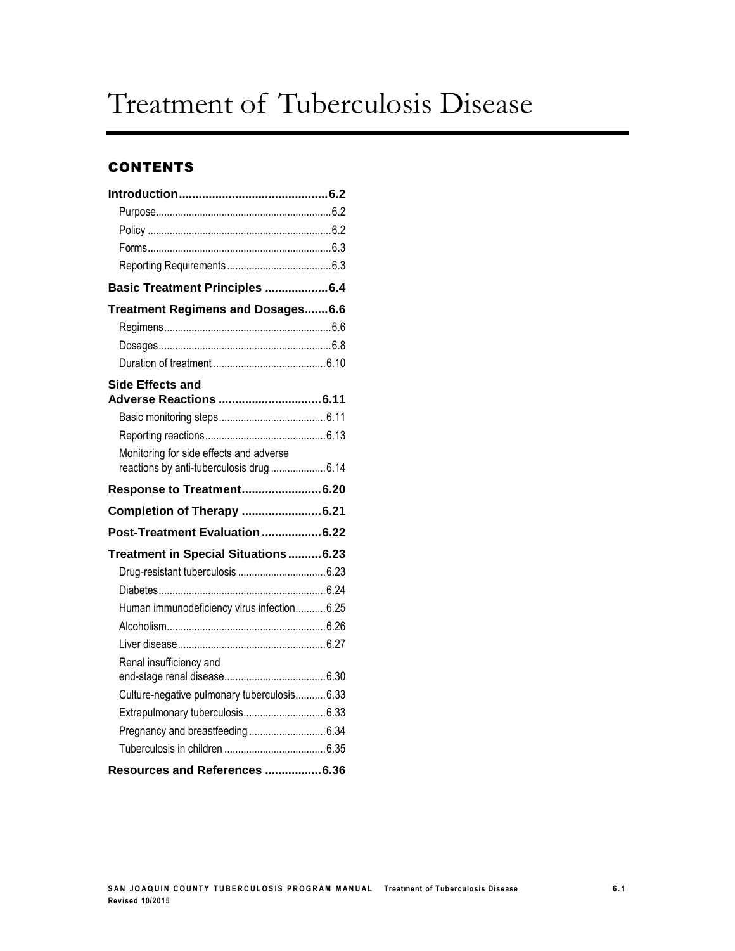# Treatment of Tuberculosis Disease

### **CONTENTS**

| Basic Treatment Principles 6.4              |  |
|---------------------------------------------|--|
| Treatment Regimens and Dosages 6.6          |  |
|                                             |  |
|                                             |  |
|                                             |  |
| <b>Side Effects and</b>                     |  |
|                                             |  |
|                                             |  |
| Monitoring for side effects and adverse     |  |
| reactions by anti-tuberculosis drug 6.14    |  |
| Response to Treatment6.20                   |  |
|                                             |  |
| Completion of Therapy  6.21                 |  |
| Post-Treatment Evaluation  6.22             |  |
| Treatment in Special Situations6.23         |  |
|                                             |  |
|                                             |  |
| Human immunodeficiency virus infection6.25  |  |
|                                             |  |
|                                             |  |
| Renal insufficiency and                     |  |
|                                             |  |
| Culture-negative pulmonary tuberculosis6.33 |  |
|                                             |  |
|                                             |  |
| Resources and References 6.36               |  |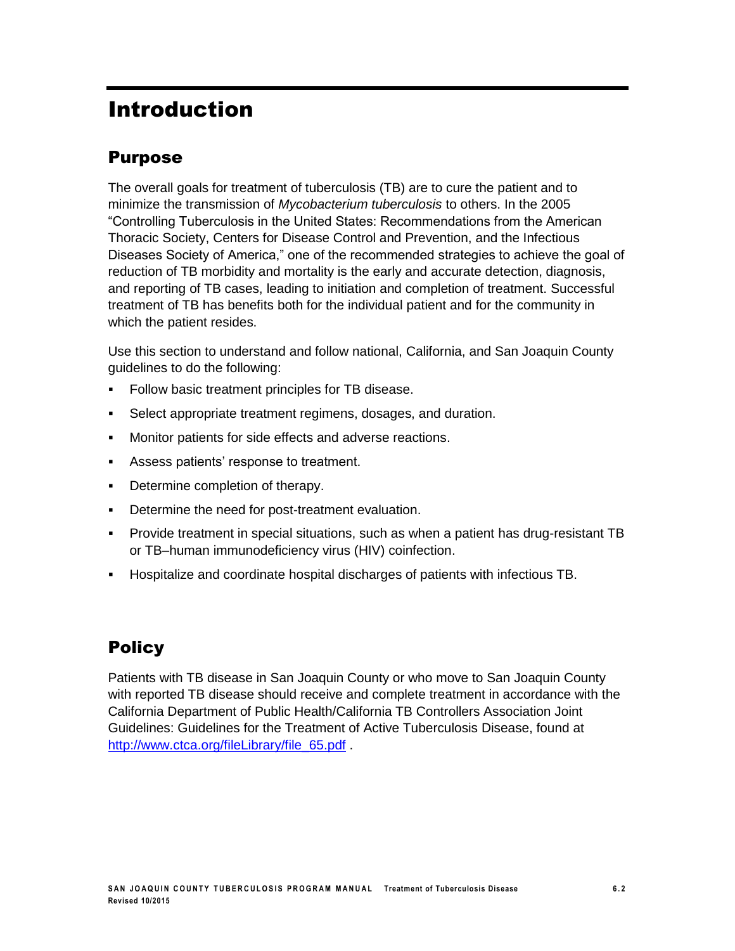# Introduction

### Purpose

The overall goals for treatment of tuberculosis (TB) are to cure the patient and to minimize the transmission of *Mycobacterium tuberculosis* to others. In the 2005 "Controlling Tuberculosis in the United States: Recommendations from the American Thoracic Society, Centers for Disease Control and Prevention, and the Infectious Diseases Society of America," one of the recommended strategies to achieve the goal of reduction of TB morbidity and mortality is the early and accurate detection, diagnosis, and reporting of TB cases, leading to initiation and completion of treatment. Successful treatment of TB has benefits both for the individual patient and for the community in which the patient resides.

Use this section to understand and follow national, California, and San Joaquin County guidelines to do the following:

- **Follow basic treatment principles for TB disease.**
- Select appropriate treatment regimens, dosages, and duration.
- **Monitor patients for side effects and adverse reactions.**
- Assess patients' response to treatment.
- Determine completion of therapy.
- **Determine the need for post-treatment evaluation.**
- Provide treatment in special situations, such as when a patient has drug-resistant TB or TB–human immunodeficiency virus (HIV) coinfection.
- Hospitalize and coordinate hospital discharges of patients with infectious TB.

### **Policy**

Patients with TB disease in San Joaquin County or who move to San Joaquin County with reported TB disease should receive and complete treatment in accordance with the California Department of Public Health/California TB Controllers Association Joint Guidelines: Guidelines for the Treatment of Active Tuberculosis Disease, found at [http://www.ctca.org/fileLibrary/file\\_65.pdf](http://www.ctca.org/fileLibrary/file_65.pdf)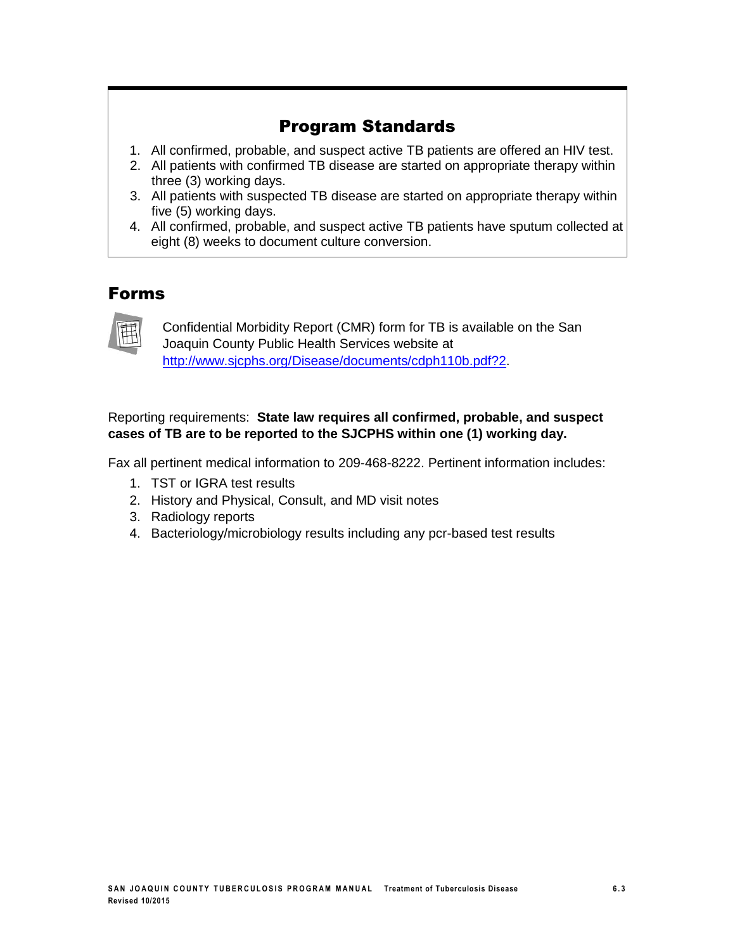### Program Standards

- 1. All confirmed, probable, and suspect active TB patients are offered an HIV test.
- 2. All patients with confirmed TB disease are started on appropriate therapy within three (3) working days.
- 3. All patients with suspected TB disease are started on appropriate therapy within five (5) working days.
- 4. All confirmed, probable, and suspect active TB patients have sputum collected at eight (8) weeks to document culture conversion.

### Forms



Confidential Morbidity Report (CMR) form for TB is available on the San Joaquin County Public Health Services website at [http://www.sjcphs.org/Disease/documents/cdph110b.pdf?2.](http://www.sjcphs.org/Disease/documents/cdph110b.pdf?2)

#### Reporting requirements: **State law requires all confirmed, probable, and suspect cases of TB are to be reported to the SJCPHS within one (1) working day.**

Fax all pertinent medical information to 209-468-8222. Pertinent information includes:

- 1. TST or IGRA test results
- 2. History and Physical, Consult, and MD visit notes
- 3. Radiology reports
- 4. Bacteriology/microbiology results including any pcr-based test results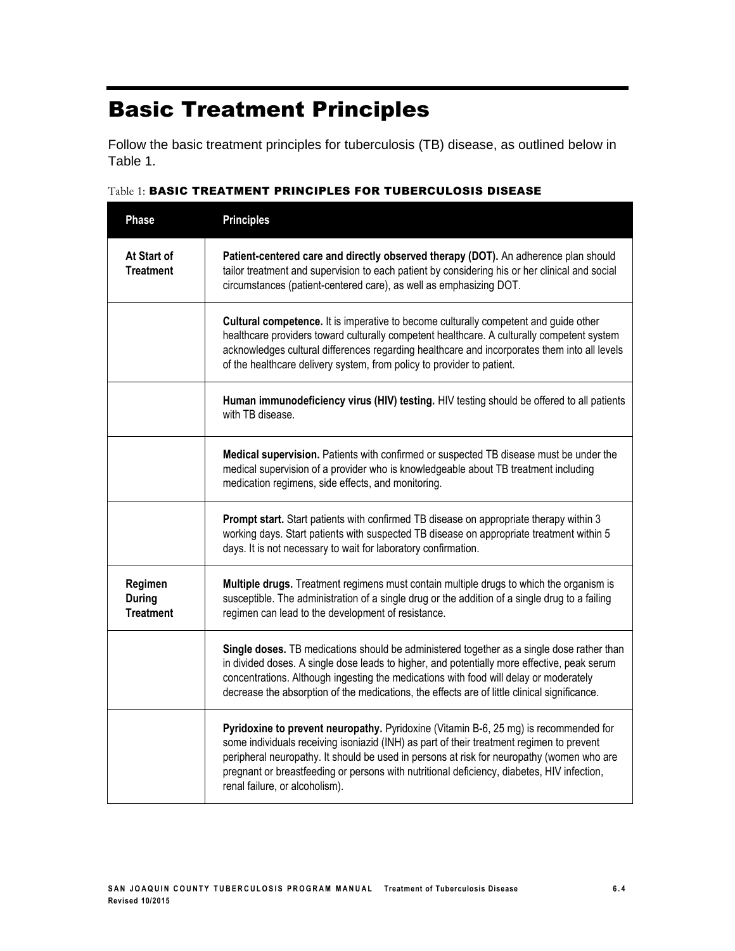# Basic Treatment Principles

Follow the basic treatment principles for tuberculosis (TB) disease, as outlined below in Table 1.

| <b>Phase</b>                                 | <b>Principles</b>                                                                                                                                                                                                                                                                                                                                                                                             |
|----------------------------------------------|---------------------------------------------------------------------------------------------------------------------------------------------------------------------------------------------------------------------------------------------------------------------------------------------------------------------------------------------------------------------------------------------------------------|
| At Start of<br><b>Treatment</b>              | Patient-centered care and directly observed therapy (DOT). An adherence plan should<br>tailor treatment and supervision to each patient by considering his or her clinical and social<br>circumstances (patient-centered care), as well as emphasizing DOT.                                                                                                                                                   |
|                                              | <b>Cultural competence.</b> It is imperative to become culturally competent and guide other<br>healthcare providers toward culturally competent healthcare. A culturally competent system<br>acknowledges cultural differences regarding healthcare and incorporates them into all levels<br>of the healthcare delivery system, from policy to provider to patient.                                           |
|                                              | Human immunodeficiency virus (HIV) testing. HIV testing should be offered to all patients<br>with TB disease.                                                                                                                                                                                                                                                                                                 |
|                                              | Medical supervision. Patients with confirmed or suspected TB disease must be under the<br>medical supervision of a provider who is knowledgeable about TB treatment including<br>medication regimens, side effects, and monitoring.                                                                                                                                                                           |
|                                              | Prompt start. Start patients with confirmed TB disease on appropriate therapy within 3<br>working days. Start patients with suspected TB disease on appropriate treatment within 5<br>days. It is not necessary to wait for laboratory confirmation.                                                                                                                                                          |
| Regimen<br><b>During</b><br><b>Treatment</b> | Multiple drugs. Treatment regimens must contain multiple drugs to which the organism is<br>susceptible. The administration of a single drug or the addition of a single drug to a failing<br>regimen can lead to the development of resistance.                                                                                                                                                               |
|                                              | Single doses. TB medications should be administered together as a single dose rather than<br>in divided doses. A single dose leads to higher, and potentially more effective, peak serum<br>concentrations. Although ingesting the medications with food will delay or moderately<br>decrease the absorption of the medications, the effects are of little clinical significance.                             |
|                                              | Pyridoxine to prevent neuropathy. Pyridoxine (Vitamin B-6, 25 mg) is recommended for<br>some individuals receiving isoniazid (INH) as part of their treatment regimen to prevent<br>peripheral neuropathy. It should be used in persons at risk for neuropathy (women who are<br>pregnant or breastfeeding or persons with nutritional deficiency, diabetes, HIV infection,<br>renal failure, or alcoholism). |

#### Table 1: BASIC TREATMENT PRINCIPLES FOR TUBERCULOSIS DISEASE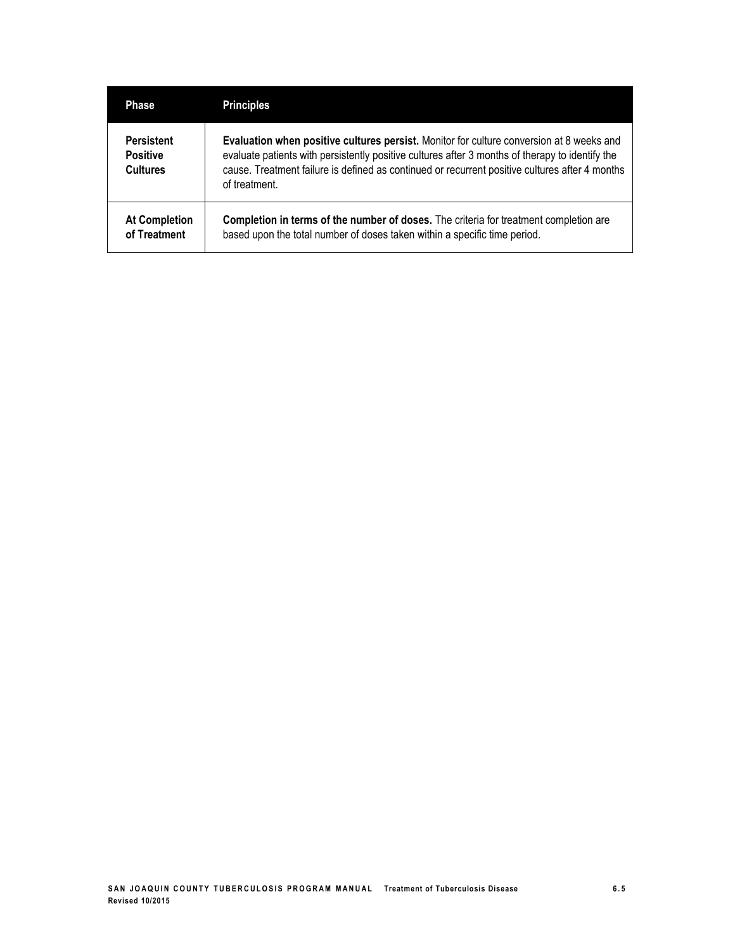| <b>Phase</b>                                            | <b>Principles</b>                                                                                                                                                                                                                                                                                              |
|---------------------------------------------------------|----------------------------------------------------------------------------------------------------------------------------------------------------------------------------------------------------------------------------------------------------------------------------------------------------------------|
| <b>Persistent</b><br><b>Positive</b><br><b>Cultures</b> | Evaluation when positive cultures persist. Monitor for culture conversion at 8 weeks and<br>evaluate patients with persistently positive cultures after 3 months of therapy to identify the<br>cause. Treatment failure is defined as continued or recurrent positive cultures after 4 months<br>of treatment. |
| <b>At Completion</b><br>of Treatment                    | Completion in terms of the number of doses. The criteria for treatment completion are<br>based upon the total number of doses taken within a specific time period.                                                                                                                                             |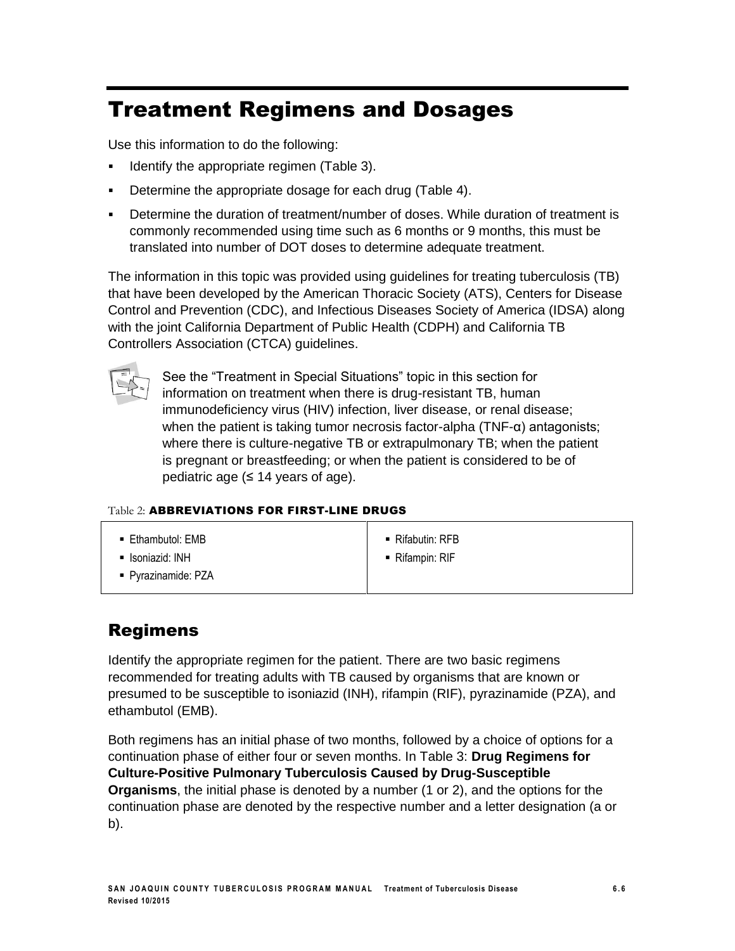# Treatment Regimens and Dosages

Use this information to do the following:

- **IDENT** Identify the appropriate regimen (Table 3).
- Determine the appropriate dosage for each drug (Table 4).
- Determine the duration of treatment/number of doses. While duration of treatment is commonly recommended using time such as 6 months or 9 months, this must be translated into number of DOT doses to determine adequate treatment.

The information in this topic was provided using guidelines for treating tuberculosis (TB) that have been developed by the American Thoracic Society (ATS), Centers for Disease Control and Prevention (CDC), and Infectious Diseases Society of America (IDSA) along with the joint California Department of Public Health (CDPH) and California TB Controllers Association (CTCA) guidelines.



See the "Treatment in Special Situations" topic in this section for information on treatment when there is drug-resistant TB, human immunodeficiency virus (HIV) infection, liver disease, or renal disease; when the patient is taking tumor necrosis factor-alpha (TNF-α) antagonists; where there is culture-negative TB or extrapulmonary TB; when the patient is pregnant or breastfeeding; or when the patient is considered to be of pediatric age  $(≤ 14$  years of age).

#### Table 2: ABBREVIATIONS FOR FIRST-LINE DRUGS

- **Ethambutol: EMB**
- **-** Isoniazid: INH
- Pyrazinamide: PZA
- Rifabutin: RFB
- Rifampin: RIF

### Regimens

Identify the appropriate regimen for the patient. There are two basic regimens recommended for treating adults with TB caused by organisms that are known or presumed to be susceptible to isoniazid (INH), rifampin (RIF), pyrazinamide (PZA), and ethambutol (EMB).

Both regimens has an initial phase of two months, followed by a choice of options for a continuation phase of either four or seven months. In Table 3: **Drug Regimens for Culture-Positive Pulmonary Tuberculosis Caused by Drug-Susceptible Organisms**, the initial phase is denoted by a number (1 or 2), and the options for the continuation phase are denoted by the respective number and a letter designation (a or b).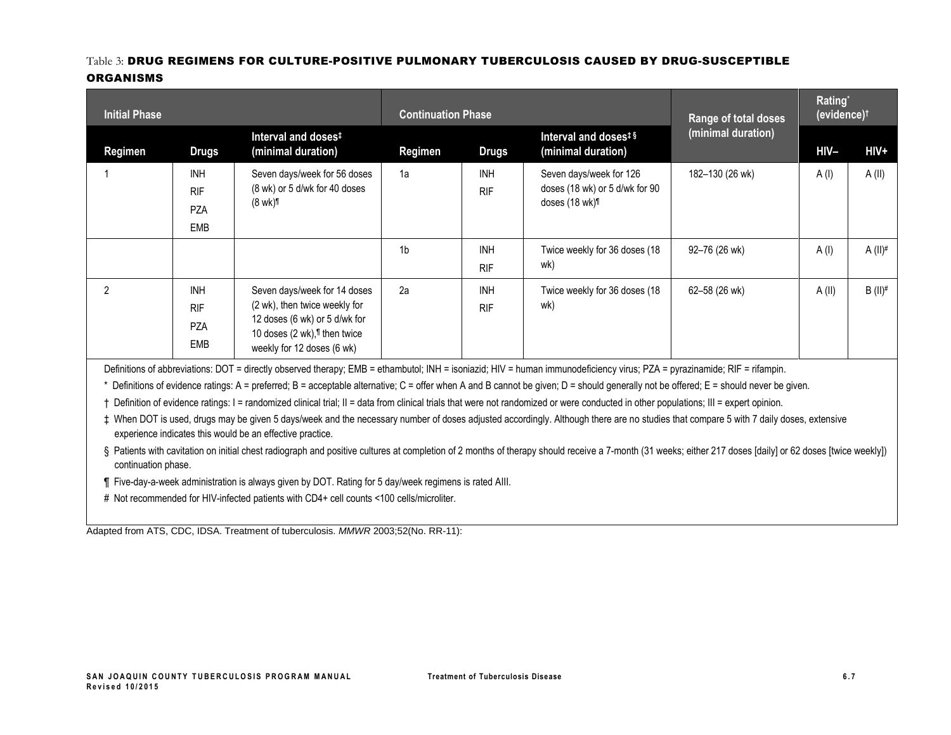#### Table 3: DRUG REGIMENS FOR CULTURE-POSITIVE PULMONARY TUBERCULOSIS CAUSED BY DRUG-SUSCEPTIBLE **ORGANISMS**

| <b>Initial Phase</b> |                                                      |                                                                                                                                                                          | <b>Continuation Phase</b> |                          |                                                                                                                                                                           | Range of total doses | Rating*<br>(evidence) <sup>t</sup> |                       |
|----------------------|------------------------------------------------------|--------------------------------------------------------------------------------------------------------------------------------------------------------------------------|---------------------------|--------------------------|---------------------------------------------------------------------------------------------------------------------------------------------------------------------------|----------------------|------------------------------------|-----------------------|
| Regimen              | <b>Drugs</b>                                         | Interval and doses <sup>#</sup><br>(minimal duration)                                                                                                                    | Regimen                   | <b>Drugs</b>             | Interval and doses <sup>#§</sup><br>(minimal duration)                                                                                                                    | (minimal duration)   | $HIV-$                             | HIV+                  |
|                      | <b>INH</b><br><b>RIF</b><br><b>PZA</b><br><b>EMB</b> | Seven days/week for 56 doses<br>(8 wk) or 5 d/wk for 40 doses<br>$(8 \text{ wk})$                                                                                        | 1a                        | <b>INH</b><br><b>RIF</b> | Seven days/week for 126<br>doses (18 wk) or 5 d/wk for 90<br>doses (18 wk) <sup>1</sup>                                                                                   | 182-130 (26 wk)      | A(1)                               | A(II)                 |
|                      |                                                      |                                                                                                                                                                          | 1 <sub>b</sub>            | <b>INH</b><br><b>RIF</b> | Twice weekly for 36 doses (18)<br>wk)                                                                                                                                     | 92-76 (26 wk)        | A(1)                               | A $(II)$ <sup>#</sup> |
|                      | <b>INH</b><br><b>RIF</b><br><b>PZA</b><br><b>EMB</b> | Seven days/week for 14 doses<br>(2 wk), then twice weekly for<br>12 doses (6 wk) or 5 d/wk for<br>10 doses (2 wk), <sup>1</sup> then twice<br>weekly for 12 doses (6 wk) | 2a                        | <b>INH</b><br><b>RIF</b> | Twice weekly for 36 doses (18)<br>wk)                                                                                                                                     | 62-58 (26 wk)        | A(II)                              | $B (II)^#$            |
|                      |                                                      |                                                                                                                                                                          |                           |                          | Definitions of abbreviations: DOT = directly observed therapy; EMB = ethambutol; INH = isoniazid; HIV = human immunodeficiency virus; PZA = pyrazinamide; RIF = rifampin. |                      |                                    |                       |

\* Definitions of evidence ratings: A = preferred; B = acceptable alternative; C = offer when A and B cannot be given; D = should generally not be offered; E = should never be given.

† Definition of evidence ratings: I = randomized clinical trial; II = data from clinical trials that were not randomized or were conducted in other populations; III = expert opinion.

‡ When DOT is used, drugs may be given 5 days/week and the necessary number of doses adjusted accordingly. Although there are no studies that compare 5 with 7 daily doses, extensive experience indicates this would be an effective practice.

§ Patients with cavitation on initial chest radiograph and positive cultures at completion of 2 months of therapy should receive a 7-month (31 weeks; either 217 doses [daily] or 62 doses [twice weekly]) continuation phase.

¶ Five-day-a-week administration is always given by DOT. Rating for 5 day/week regimens is rated AIII.

# Not recommended for HIV-infected patients with CD4+ cell counts <100 cells/microliter.

Adapted from ATS, CDC, IDSA. Treatment of tuberculosis. *MMWR* 2003;52(No. RR-11):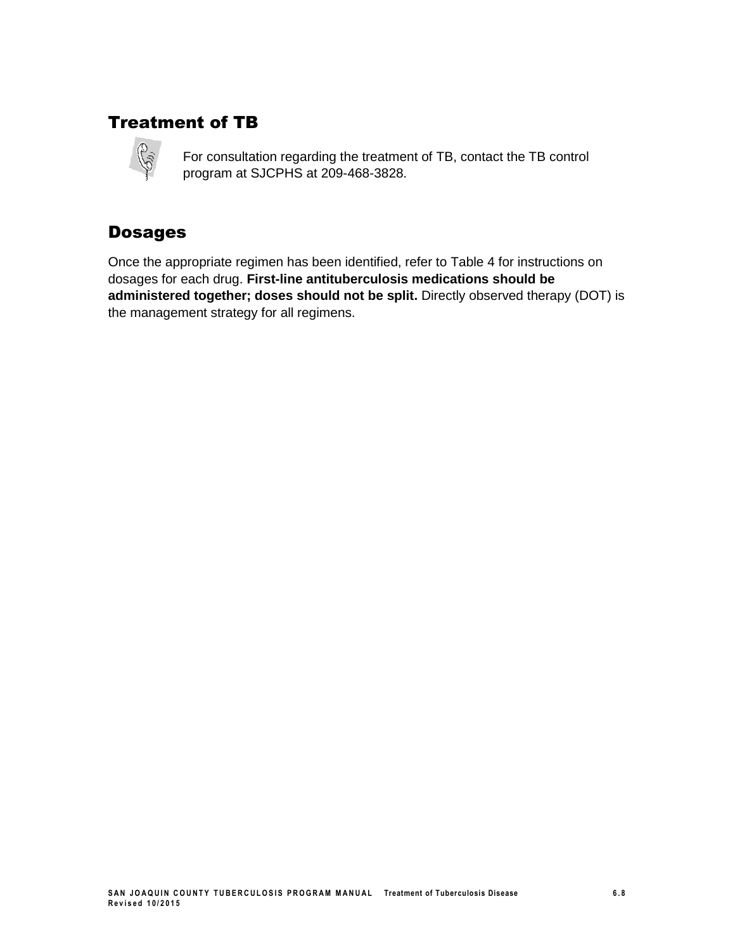### Treatment of TB



For consultation regarding the treatment of TB, contact the TB control program at SJCPHS at 209-468-3828.

### Dosages

Once the appropriate regimen has been identified, refer to Table 4 for instructions on dosages for each drug. **First-line antituberculosis medications should be administered together; doses should not be split.** Directly observed therapy (DOT) is the management strategy for all regimens.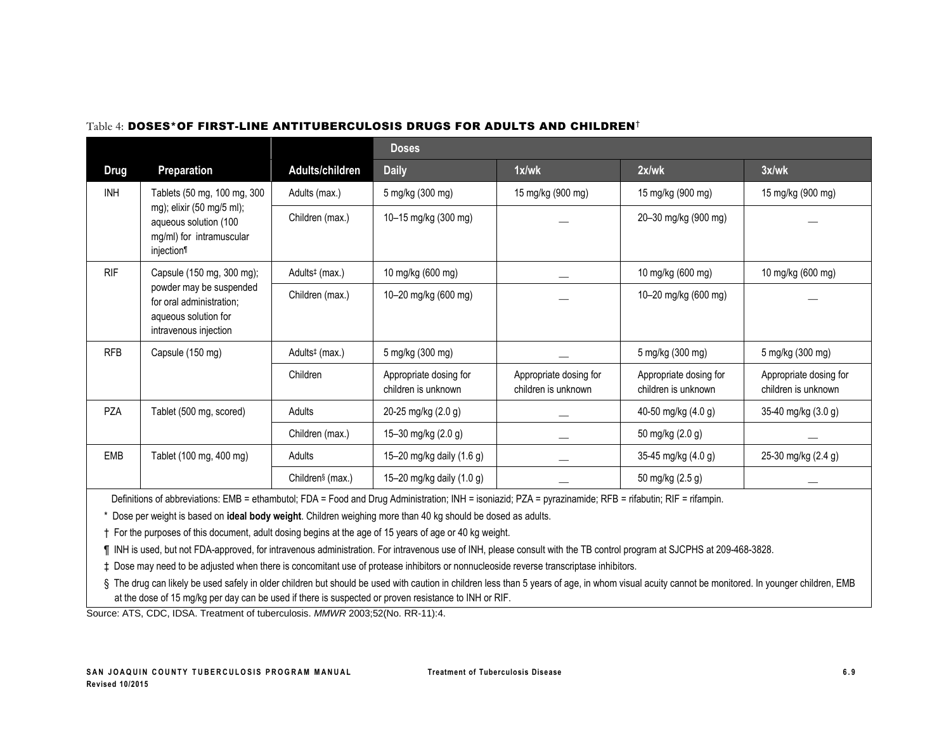|             |                                                                                                      |                              | <b>Doses</b>                                  |                                               |                                               |                                               |
|-------------|------------------------------------------------------------------------------------------------------|------------------------------|-----------------------------------------------|-----------------------------------------------|-----------------------------------------------|-----------------------------------------------|
| <b>Drug</b> | Preparation                                                                                          | Adults/children              | <b>Daily</b>                                  | 1x/wk                                         | 2x/wk                                         | 3x/wk                                         |
| INH         | Tablets (50 mg, 100 mg, 300                                                                          | Adults (max.)                | 5 mg/kg (300 mg)                              | 15 mg/kg (900 mg)                             | 15 mg/kg (900 mg)                             | 15 mg/kg (900 mg)                             |
|             | mg); elixir (50 mg/5 ml);<br>aqueous solution (100<br>mg/ml) for intramuscular<br>injection          | Children (max.)              | 10–15 mg/kg (300 mg)                          |                                               | 20-30 mg/kg (900 mg)                          |                                               |
| <b>RIF</b>  | Capsule (150 mg, 300 mg);                                                                            | Adults <sup>‡</sup> (max.)   | 10 mg/kg (600 mg)                             |                                               | 10 mg/kg (600 mg)                             | 10 mg/kg (600 mg)                             |
|             | powder may be suspended<br>for oral administration;<br>aqueous solution for<br>intravenous injection | Children (max.)              | 10-20 mg/kg (600 mg)                          |                                               | 10-20 mg/kg (600 mg)                          |                                               |
| <b>RFB</b>  | Capsule (150 mg)                                                                                     | Adults <sup>#</sup> (max.)   | 5 mg/kg (300 mg)                              |                                               | 5 mg/kg (300 mg)                              | 5 mg/kg (300 mg)                              |
|             |                                                                                                      | Children                     | Appropriate dosing for<br>children is unknown | Appropriate dosing for<br>children is unknown | Appropriate dosing for<br>children is unknown | Appropriate dosing for<br>children is unknown |
| <b>PZA</b>  | Tablet (500 mg, scored)                                                                              | Adults                       | 20-25 mg/kg (2.0 g)                           |                                               | 40-50 mg/kg (4.0 g)                           | 35-40 mg/kg (3.0 g)                           |
|             |                                                                                                      | Children (max.)              | 15-30 mg/kg (2.0 g)                           |                                               | 50 mg/kg (2.0 g)                              |                                               |
| EMB         | Tablet (100 mg, 400 mg)                                                                              | Adults                       | 15-20 mg/kg daily (1.6 g)                     |                                               | 35-45 mg/kg (4.0 g)                           | 25-30 mg/kg (2.4 g)                           |
|             |                                                                                                      | Children <sup>§</sup> (max.) | 15-20 mg/kg daily (1.0 g)                     |                                               | 50 mg/kg (2.5 g)                              |                                               |

#### Table 4: DOSES\*OF FIRST-LINE ANTITUBERCULOSIS DRUGS FOR ADULTS AND CHILDREN†

Definitions of abbreviations: EMB = ethambutol; FDA = Food and Drug Administration; INH = isoniazid; PZA = pyrazinamide; RFB = rifabutin; RIF = rifampin.

\* Dose per weight is based on **ideal body weight**. Children weighing more than 40 kg should be dosed as adults.

† For the purposes of this document, adult dosing begins at the age of 15 years of age or 40 kg weight.

¶ INH is used, but not FDA-approved, for intravenous administration. For intravenous use of INH, please consult with the TB control program at SJCPHS at 209-468-3828.

‡ Dose may need to be adjusted when there is concomitant use of protease inhibitors or nonnucleoside reverse transcriptase inhibitors.

§ The drug can likely be used safely in older children but should be used with caution in children less than 5 years of age, in whom visual acuity cannot be monitored. In younger children, EMB at the dose of 15 mg/kg per day can be used if there is suspected or proven resistance to INH or RIF.

Source: ATS, CDC, IDSA. Treatment of tuberculosis. *MMWR* 2003;52(No. RR-11):4.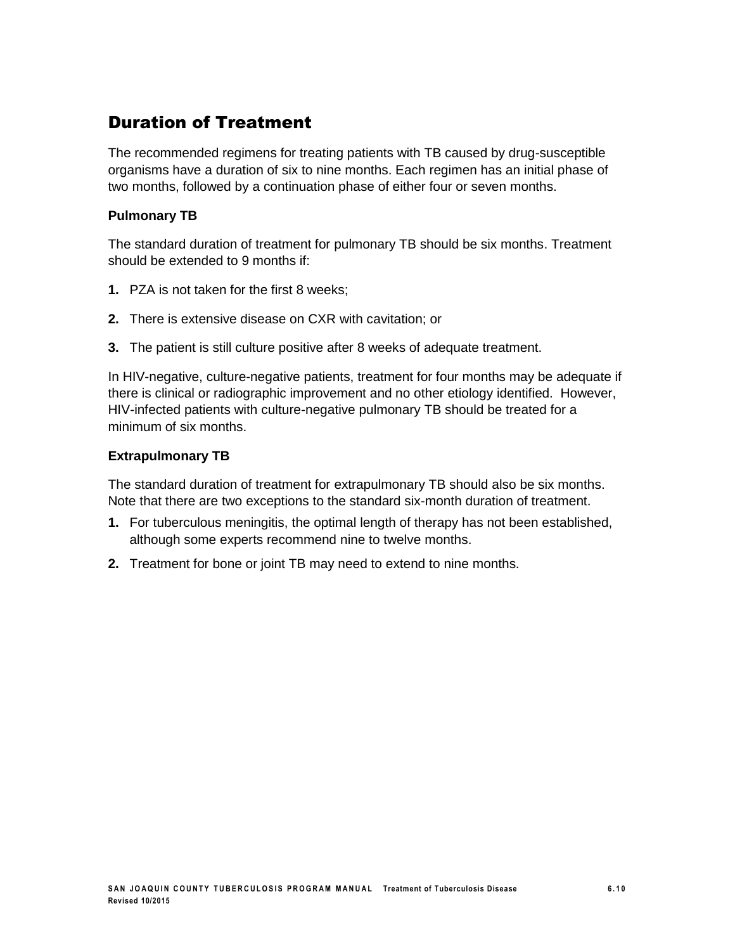### Duration of Treatment

The recommended regimens for treating patients with TB caused by drug-susceptible organisms have a duration of six to nine months. Each regimen has an initial phase of two months, followed by a continuation phase of either four or seven months.

#### **Pulmonary TB**

The standard duration of treatment for pulmonary TB should be six months. Treatment should be extended to 9 months if:

- **1.** PZA is not taken for the first 8 weeks;
- **2.** There is extensive disease on CXR with cavitation; or
- **3.** The patient is still culture positive after 8 weeks of adequate treatment.

In HIV-negative, culture-negative patients, treatment for four months may be adequate if there is clinical or radiographic improvement and no other etiology identified. However, HIV-infected patients with culture-negative pulmonary TB should be treated for a minimum of six months.

#### **Extrapulmonary TB**

The standard duration of treatment for extrapulmonary TB should also be six months. Note that there are two exceptions to the standard six-month duration of treatment.

- **1.** For tuberculous meningitis, the optimal length of therapy has not been established, although some experts recommend nine to twelve months.
- **2.** Treatment for bone or joint TB may need to extend to nine months.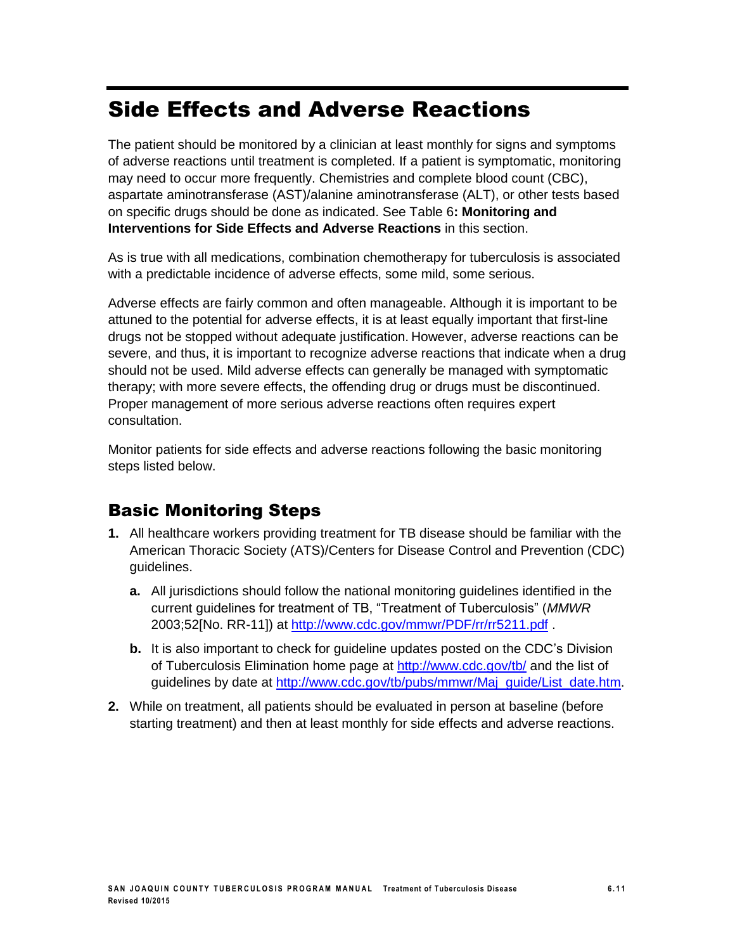# Side Effects and Adverse Reactions

The patient should be monitored by a clinician at least monthly for signs and symptoms of adverse reactions until treatment is completed. If a patient is symptomatic, monitoring may need to occur more frequently. Chemistries and complete blood count (CBC), aspartate aminotransferase (AST)/alanine aminotransferase (ALT), or other tests based on specific drugs should be done as indicated. See Table 6**: Monitoring and Interventions for Side Effects and Adverse Reactions** in this section.

As is true with all medications, combination chemotherapy for tuberculosis is associated with a predictable incidence of adverse effects, some mild, some serious.

Adverse effects are fairly common and often manageable. Although it is important to be attuned to the potential for adverse effects, it is at least equally important that first-line drugs not be stopped without adequate justification. However, adverse reactions can be severe, and thus, it is important to recognize adverse reactions that indicate when a drug should not be used. Mild adverse effects can generally be managed with symptomatic therapy; with more severe effects, the offending drug or drugs must be discontinued. Proper management of more serious adverse reactions often requires expert consultation.

Monitor patients for side effects and adverse reactions following the basic monitoring steps listed below.

### Basic Monitoring Steps

- **1.** All healthcare workers providing treatment for TB disease should be familiar with the American Thoracic Society (ATS)/Centers for Disease Control and Prevention (CDC) guidelines.
	- **a.** All jurisdictions should follow the national monitoring guidelines identified in the current guidelines for treatment of TB, "Treatment of Tuberculosis" (*MMWR*  2003;52[No. RR-11]) at <http://www.cdc.gov/mmwr/PDF/rr/rr5211.pdf> .
	- **b.** It is also important to check for guideline updates posted on the CDC's Division of Tuberculosis Elimination home page at <http://www.cdc.gov/tb/> and the list of guidelines by date at [http://www.cdc.gov/tb/pubs/mmwr/Maj\\_guide/List\\_date.htm.](http://www.cdc.gov/tb/pubs/mmwr/Maj_guide/List_date.htm)
- **2.** While on treatment, all patients should be evaluated in person at baseline (before starting treatment) and then at least monthly for side effects and adverse reactions.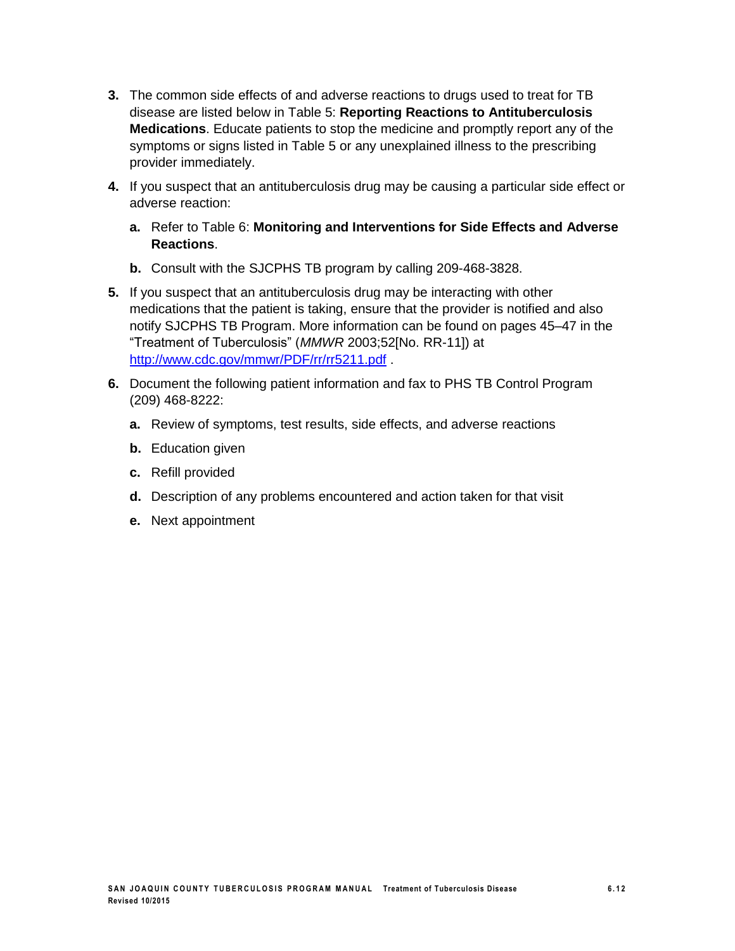- **3.** The common side effects of and adverse reactions to drugs used to treat for TB disease are listed below in Table 5: **Reporting Reactions to Antituberculosis Medications**. Educate patients to stop the medicine and promptly report any of the symptoms or signs listed in Table 5 or any unexplained illness to the prescribing provider immediately.
- **4.** If you suspect that an antituberculosis drug may be causing a particular side effect or adverse reaction:
	- **a.** Refer to Table 6: **Monitoring and Interventions for Side Effects and Adverse Reactions**.
	- **b.** Consult with the SJCPHS TB program by calling 209-468-3828.
- **5.** If you suspect that an antituberculosis drug may be interacting with other medications that the patient is taking, ensure that the provider is notified and also notify SJCPHS TB Program. More information can be found on pages 45–47 in the "Treatment of Tuberculosis" (*MMWR* 2003;52[No. RR-11]) at <http://www.cdc.gov/mmwr/PDF/rr/rr5211.pdf> .
- **6.** Document the following patient information and fax to PHS TB Control Program (209) 468-8222:
	- **a.** Review of symptoms, test results, side effects, and adverse reactions
	- **b.** Education given
	- **c.** Refill provided
	- **d.** Description of any problems encountered and action taken for that visit
	- **e.** Next appointment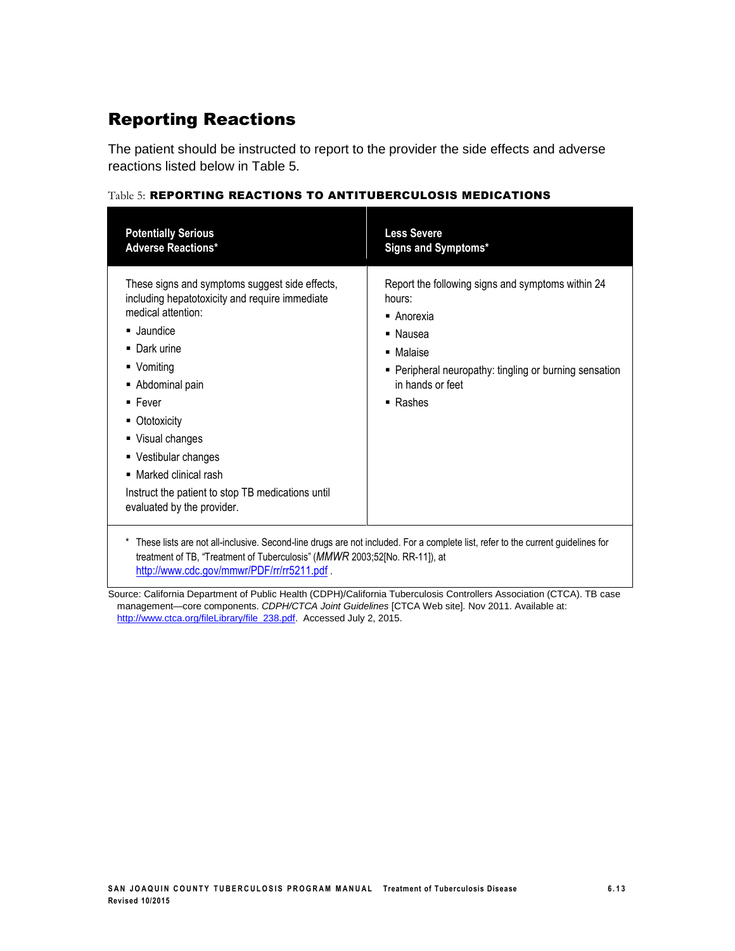### Reporting Reactions

The patient should be instructed to report to the provider the side effects and adverse reactions listed below in Table 5.

| <b>Potentially Serious</b><br><b>Adverse Reactions*</b>                                                                                                                                                                                                                                                                                                                                | <b>Less Severe</b><br>Signs and Symptoms*                                                                                                                                                                 |
|----------------------------------------------------------------------------------------------------------------------------------------------------------------------------------------------------------------------------------------------------------------------------------------------------------------------------------------------------------------------------------------|-----------------------------------------------------------------------------------------------------------------------------------------------------------------------------------------------------------|
| These signs and symptoms suggest side effects,<br>including hepatotoxicity and require immediate<br>medical attention:<br>■ Jaundice<br>■ Dark urine<br>• Vomiting<br>Abdominal pain<br>$\blacksquare$ Fever<br>■ Ototoxicity<br>■ Visual changes<br>• Vestibular changes<br>• Marked clinical rash<br>Instruct the patient to stop TB medications until<br>evaluated by the provider. | Report the following signs and symptoms within 24<br>hours:<br>■ Anorexia<br>• Nausea<br>■ Malaise<br>• Peripheral neuropathy: tingling or burning sensation<br>in hands or feet<br>$\blacksquare$ Rashes |
| treatment of TB, "Treatment of Tuberculosis" (MMWR 2003;52[No. RR-11]), at<br>http://www.cdc.gov/mmwr/PDF/rr/rr5211.pdf.                                                                                                                                                                                                                                                               | * These lists are not all-inclusive. Second-line drugs are not included. For a complete list, refer to the current guidelines for                                                                         |

#### Table 5: REPORTING REACTIONS TO ANTITUBERCULOSIS MEDICATIONS

Source: California Department of Public Health (CDPH)/California Tuberculosis Controllers Association (CTCA). TB case management—core components. *CDPH/CTCA Joint Guidelines* [CTCA Web site]*.* Nov 2011. Available at: [http://www.ctca.org/fileLibrary/file\\_238.pdf.](http://www.ctca.org/fileLibrary/file_238.pdf) Accessed July 2, 2015.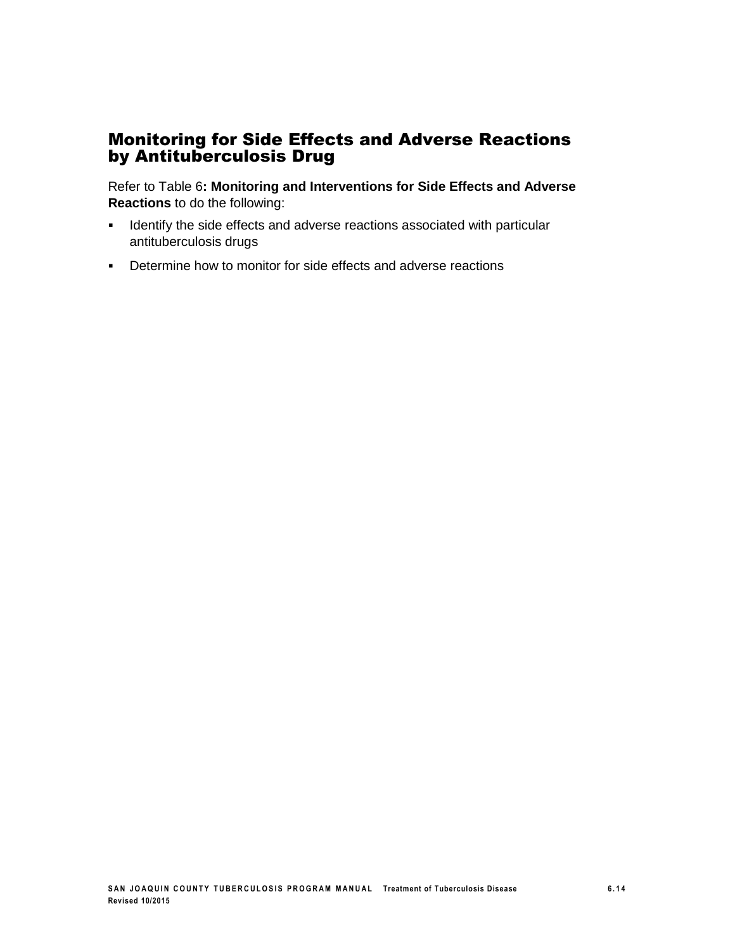### Monitoring for Side Effects and Adverse Reactions by Antituberculosis Drug

Refer to Table 6**: Monitoring and Interventions for Side Effects and Adverse Reactions** to do the following:

- **IDENTIFY 19 IDENTIFY 10 IDENTIFY 10 IDENTIFY 10 IDENTIFY 10 IDENTIFY 10 IDENTIFY 10 IDENTIFY 10 IDENTIFY 10 IDENTIFY 10 IDENTIFY 10 IDENTIFY 10 IDENTIFY 10 IDENTIFY 10 IDENTIFY 10 IDENTIFY 10 IDENTIFY 10 IDENTIFY 10 IDENT** antituberculosis drugs
- **•** Determine how to monitor for side effects and adverse reactions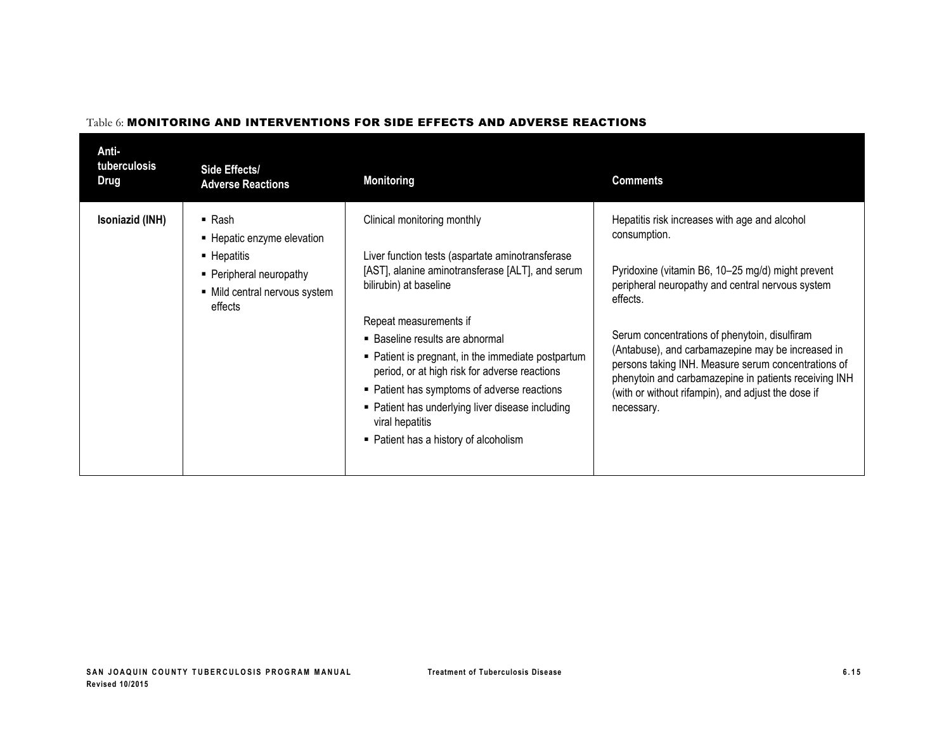| Anti-<br>tuberculosis<br>Drug | Side Effects/<br><b>Adverse Reactions</b>                                                                                               | <b>Monitoring</b>                                                                                                                                                                                                                                                                                                                                                                                                                                                                                | <b>Comments</b>                                                                                                                                                                                                                                                                                                                                                                                                                                                              |
|-------------------------------|-----------------------------------------------------------------------------------------------------------------------------------------|--------------------------------------------------------------------------------------------------------------------------------------------------------------------------------------------------------------------------------------------------------------------------------------------------------------------------------------------------------------------------------------------------------------------------------------------------------------------------------------------------|------------------------------------------------------------------------------------------------------------------------------------------------------------------------------------------------------------------------------------------------------------------------------------------------------------------------------------------------------------------------------------------------------------------------------------------------------------------------------|
| Isoniazid (INH)               | $\blacksquare$ Rash<br>■ Hepatic enzyme elevation<br>■ Hepatitis<br>• Peripheral neuropathy<br>• Mild central nervous system<br>effects | Clinical monitoring monthly<br>Liver function tests (aspartate aminotransferase<br>[AST], alanine aminotransferase [ALT], and serum<br>bilirubin) at baseline<br>Repeat measurements if<br>• Baseline results are abnormal<br>• Patient is pregnant, in the immediate postpartum<br>period, or at high risk for adverse reactions<br>• Patient has symptoms of adverse reactions<br>• Patient has underlying liver disease including<br>viral hepatitis<br>• Patient has a history of alcoholism | Hepatitis risk increases with age and alcohol<br>consumption.<br>Pyridoxine (vitamin B6, 10-25 mg/d) might prevent<br>peripheral neuropathy and central nervous system<br>effects.<br>Serum concentrations of phenytoin, disulfiram<br>(Antabuse), and carbamazepine may be increased in<br>persons taking INH. Measure serum concentrations of<br>phenytoin and carbamazepine in patients receiving INH<br>(with or without rifampin), and adjust the dose if<br>necessary. |

#### Table 6: MONITORING AND INTERVENTIONS FOR SIDE EFFECTS AND ADVERSE REACTIONS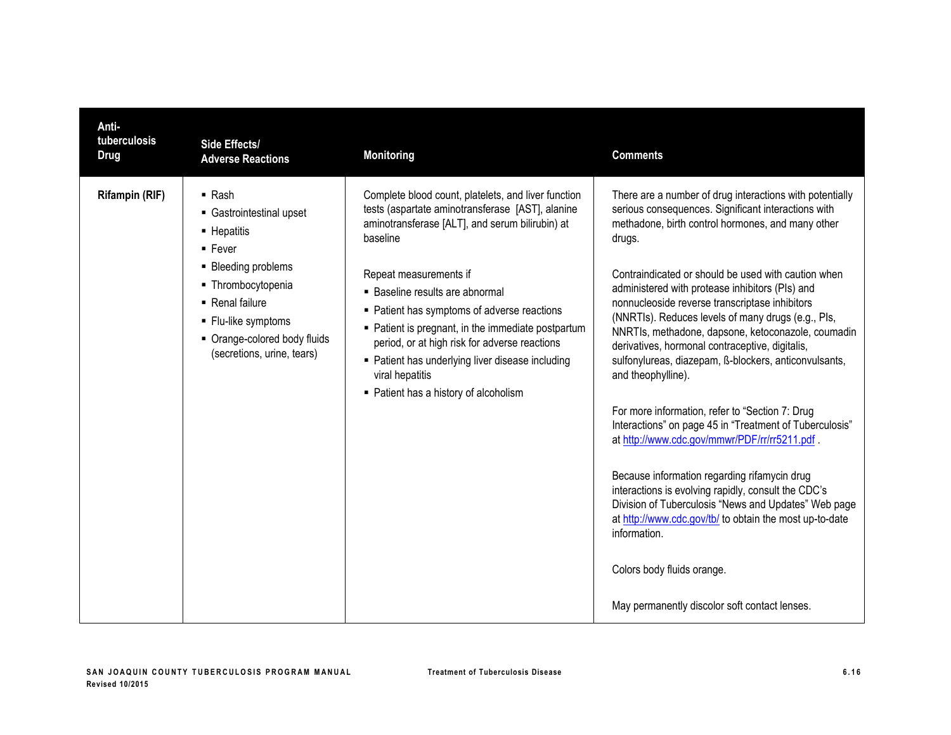| Anti-<br>tuberculosis<br><b>Drug</b> | Side Effects/<br><b>Adverse Reactions</b>                                                                                                                                                                                        | <b>Monitoring</b>                                                                                                                                                                                                                                                                                                                                                                                                                                                                                         | <b>Comments</b>                                                                                                                                                                                                                                                                                                                                                                                                                                                                                                                                                                                                                                                                                                                                                                                                                                                                                                                                                                                                                                                                  |
|--------------------------------------|----------------------------------------------------------------------------------------------------------------------------------------------------------------------------------------------------------------------------------|-----------------------------------------------------------------------------------------------------------------------------------------------------------------------------------------------------------------------------------------------------------------------------------------------------------------------------------------------------------------------------------------------------------------------------------------------------------------------------------------------------------|----------------------------------------------------------------------------------------------------------------------------------------------------------------------------------------------------------------------------------------------------------------------------------------------------------------------------------------------------------------------------------------------------------------------------------------------------------------------------------------------------------------------------------------------------------------------------------------------------------------------------------------------------------------------------------------------------------------------------------------------------------------------------------------------------------------------------------------------------------------------------------------------------------------------------------------------------------------------------------------------------------------------------------------------------------------------------------|
| Rifampin (RIF)                       | $\blacksquare$ Rash<br>• Gastrointestinal upset<br>• Hepatitis<br>$-$ Fever<br>• Bleeding problems<br>• Thrombocytopenia<br>• Renal failure<br>• Flu-like symptoms<br>• Orange-colored body fluids<br>(secretions, urine, tears) | Complete blood count, platelets, and liver function<br>tests (aspartate aminotransferase [AST], alanine<br>aminotransferase [ALT], and serum bilirubin) at<br>baseline<br>Repeat measurements if<br>• Baseline results are abnormal<br>• Patient has symptoms of adverse reactions<br>• Patient is pregnant, in the immediate postpartum<br>period, or at high risk for adverse reactions<br>• Patient has underlying liver disease including<br>viral hepatitis<br>• Patient has a history of alcoholism | There are a number of drug interactions with potentially<br>serious consequences. Significant interactions with<br>methadone, birth control hormones, and many other<br>drugs.<br>Contraindicated or should be used with caution when<br>administered with protease inhibitors (PIs) and<br>nonnucleoside reverse transcriptase inhibitors<br>(NNRTIs). Reduces levels of many drugs (e.g., PIs,<br>NNRTIs, methadone, dapsone, ketoconazole, coumadin<br>derivatives, hormonal contraceptive, digitalis,<br>sulfonylureas, diazepam, ß-blockers, anticonvulsants,<br>and theophylline).<br>For more information, refer to "Section 7: Drug<br>Interactions" on page 45 in "Treatment of Tuberculosis"<br>at http://www.cdc.gov/mmwr/PDF/rr/rr5211.pdf.<br>Because information regarding rifamycin drug<br>interactions is evolving rapidly, consult the CDC's<br>Division of Tuberculosis "News and Updates" Web page<br>at http://www.cdc.gov/tb/ to obtain the most up-to-date<br>information.<br>Colors body fluids orange.<br>May permanently discolor soft contact lenses. |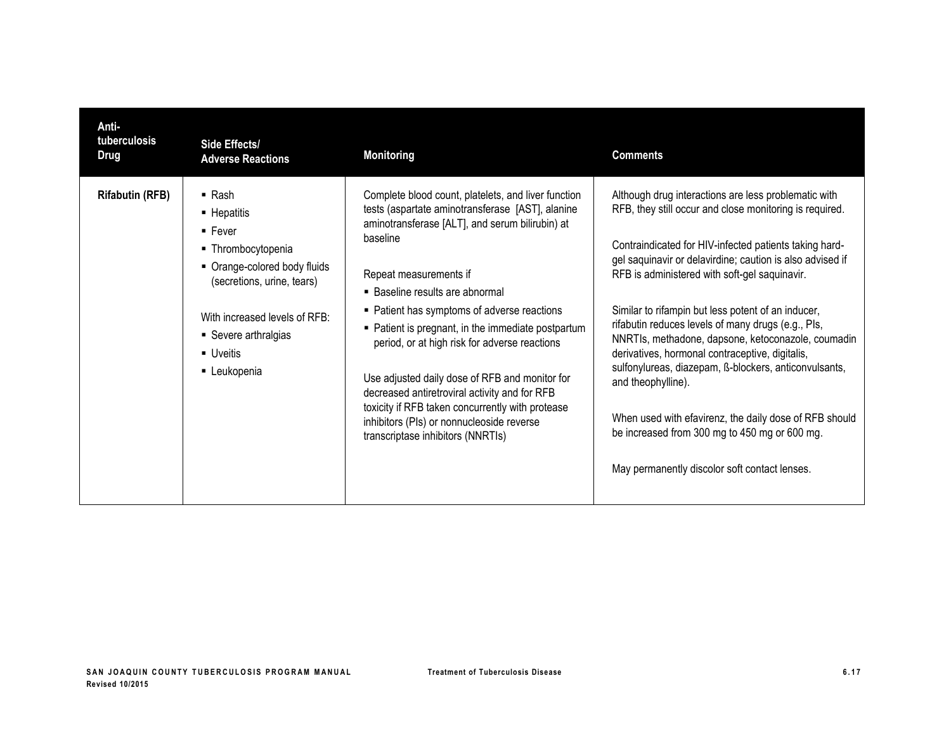| Anti-<br>tuberculosis<br><b>Drug</b> | Side Effects/<br><b>Adverse Reactions</b>                                                                                                                                                                                            | <b>Monitoring</b>                                                                                                                                                                                                                                                                                                                                                                                                                                                                                                                                                                                                                  | <b>Comments</b>                                                                                                                                                                                                                                                                                                                                                                                                                                                                                                                                                                                                                                                                                                                                         |
|--------------------------------------|--------------------------------------------------------------------------------------------------------------------------------------------------------------------------------------------------------------------------------------|------------------------------------------------------------------------------------------------------------------------------------------------------------------------------------------------------------------------------------------------------------------------------------------------------------------------------------------------------------------------------------------------------------------------------------------------------------------------------------------------------------------------------------------------------------------------------------------------------------------------------------|---------------------------------------------------------------------------------------------------------------------------------------------------------------------------------------------------------------------------------------------------------------------------------------------------------------------------------------------------------------------------------------------------------------------------------------------------------------------------------------------------------------------------------------------------------------------------------------------------------------------------------------------------------------------------------------------------------------------------------------------------------|
| <b>Rifabutin (RFB)</b>               | $\blacksquare$ Rash<br>• Hepatitis<br>$\blacksquare$ Fever<br>■ Thrombocytopenia<br>• Orange-colored body fluids<br>(secretions, urine, tears)<br>With increased levels of RFB:<br>• Severe arthralgias<br>• Uveitis<br>• Leukopenia | Complete blood count, platelets, and liver function<br>tests (aspartate aminotransferase [AST], alanine<br>aminotransferase [ALT], and serum bilirubin) at<br>baseline<br>Repeat measurements if<br>• Baseline results are abnormal<br>• Patient has symptoms of adverse reactions<br>• Patient is pregnant, in the immediate postpartum<br>period, or at high risk for adverse reactions<br>Use adjusted daily dose of RFB and monitor for<br>decreased antiretroviral activity and for RFB<br>toxicity if RFB taken concurrently with protease<br>inhibitors (PIs) or nonnucleoside reverse<br>transcriptase inhibitors (NNRTIs) | Although drug interactions are less problematic with<br>RFB, they still occur and close monitoring is required.<br>Contraindicated for HIV-infected patients taking hard-<br>gel saquinavir or delavirdine; caution is also advised if<br>RFB is administered with soft-gel saquinavir.<br>Similar to rifampin but less potent of an inducer,<br>rifabutin reduces levels of many drugs (e.g., PIs,<br>NNRTIs, methadone, dapsone, ketoconazole, coumadin<br>derivatives, hormonal contraceptive, digitalis,<br>sulfonylureas, diazepam, ß-blockers, anticonvulsants,<br>and theophylline).<br>When used with efavirenz, the daily dose of RFB should<br>be increased from 300 mg to 450 mg or 600 mg.<br>May permanently discolor soft contact lenses. |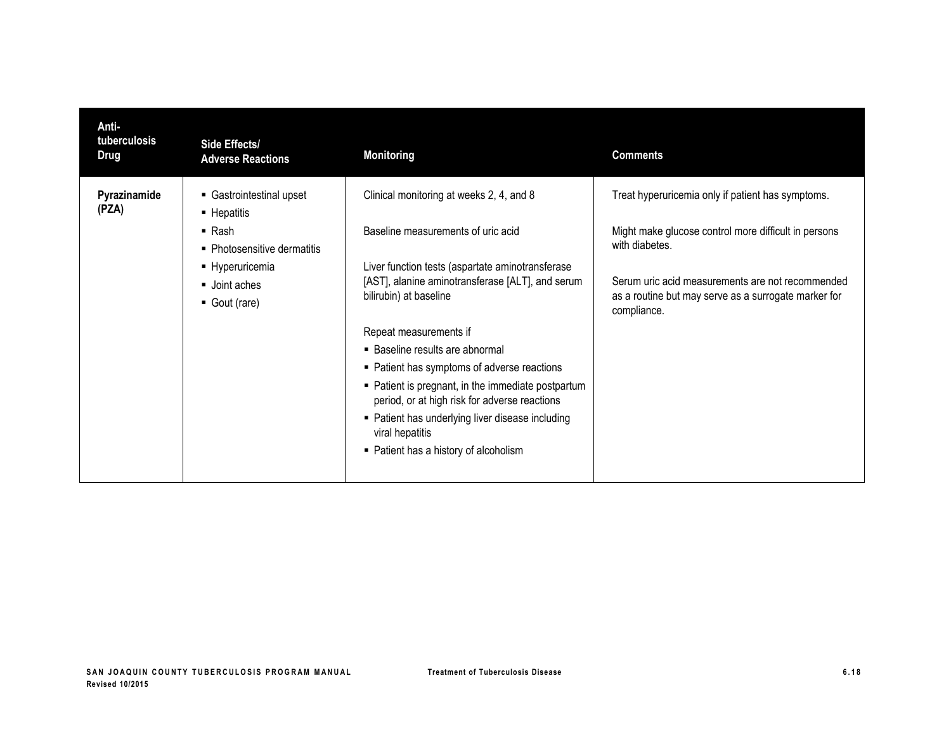| Anti-<br>tuberculosis<br><b>Drug</b> | Side Effects/<br><b>Adverse Reactions</b>          | <b>Monitoring</b>                                                                                    | <b>Comments</b>                                                        |
|--------------------------------------|----------------------------------------------------|------------------------------------------------------------------------------------------------------|------------------------------------------------------------------------|
| Pyrazinamide<br>(PZA)                | Gastrointestinal upset<br>$\blacksquare$ Hepatitis | Clinical monitoring at weeks 2, 4, and 8                                                             | Treat hyperuricemia only if patient has symptoms.                      |
|                                      | $\blacksquare$ Rash<br>• Photosensitive dermatitis | Baseline measurements of uric acid                                                                   | Might make glucose control more difficult in persons<br>with diabetes. |
|                                      | • Hyperuricemia                                    | Liver function tests (aspartate aminotransferase<br>[AST], alanine aminotransferase [ALT], and serum | Serum uric acid measurements are not recommended                       |
|                                      | Joint aches<br>Gout (rare)                         | bilirubin) at baseline                                                                               | as a routine but may serve as a surrogate marker for<br>compliance.    |
|                                      |                                                    | Repeat measurements if                                                                               |                                                                        |
|                                      |                                                    | ■ Baseline results are abnormal                                                                      |                                                                        |
|                                      |                                                    | • Patient has symptoms of adverse reactions                                                          |                                                                        |
|                                      |                                                    | • Patient is pregnant, in the immediate postpartum<br>period, or at high risk for adverse reactions  |                                                                        |
|                                      |                                                    | • Patient has underlying liver disease including<br>viral hepatitis                                  |                                                                        |
|                                      |                                                    | • Patient has a history of alcoholism                                                                |                                                                        |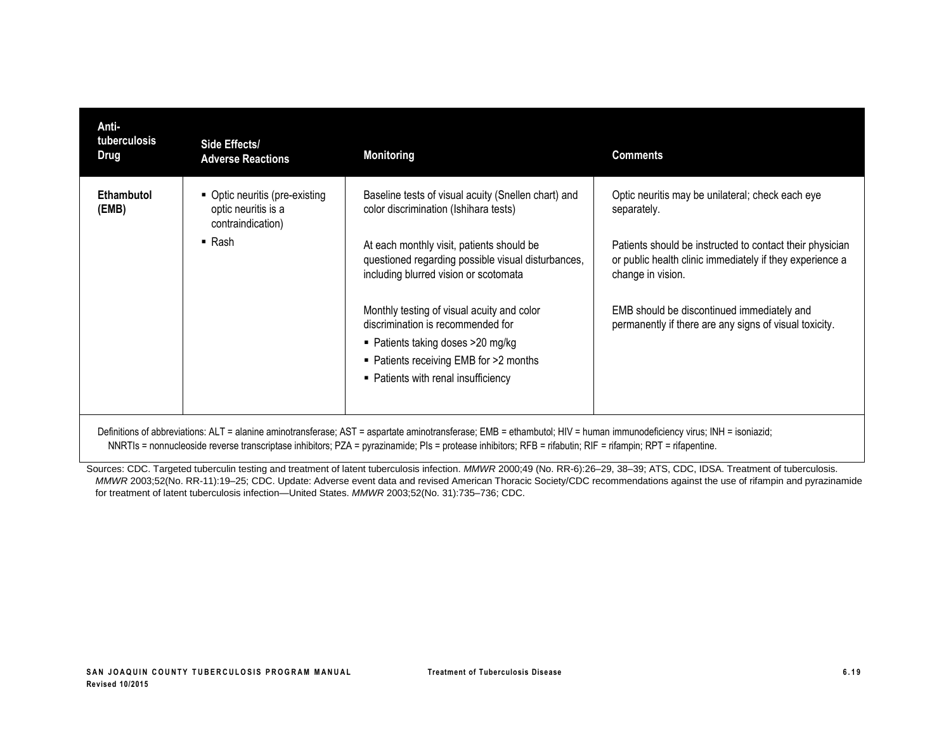| Anti-<br>tuberculosis<br>Drug                                                                                                                                          | Side Effects/<br><b>Adverse Reactions</b>                                  | <b>Monitoring</b>                                                                                                                                                                                      | <b>Comments</b>                                                                                                                           |
|------------------------------------------------------------------------------------------------------------------------------------------------------------------------|----------------------------------------------------------------------------|--------------------------------------------------------------------------------------------------------------------------------------------------------------------------------------------------------|-------------------------------------------------------------------------------------------------------------------------------------------|
| Ethambutol<br>(EMB)                                                                                                                                                    | • Optic neuritis (pre-existing<br>optic neuritis is a<br>contraindication) | Baseline tests of visual acuity (Snellen chart) and<br>color discrimination (Ishihara tests)                                                                                                           | Optic neuritis may be unilateral; check each eye<br>separately.                                                                           |
|                                                                                                                                                                        | $\blacksquare$ Rash                                                        | At each monthly visit, patients should be<br>questioned regarding possible visual disturbances,<br>including blurred vision or scotomata                                                               | Patients should be instructed to contact their physician<br>or public health clinic immediately if they experience a<br>change in vision. |
|                                                                                                                                                                        |                                                                            | Monthly testing of visual acuity and color<br>discrimination is recommended for<br>■ Patients taking doses > 20 mg/kg<br>• Patients receiving EMB for >2 months<br>• Patients with renal insufficiency | EMB should be discontinued immediately and<br>permanently if there are any signs of visual toxicity.                                      |
| Definitions of abbreviations: ALT = alanine aminotransferase; AST = aspartate aminotransferase; EMB = ethambutol; HIV = human immunodeficiency virus; INH = isoniazid; |                                                                            |                                                                                                                                                                                                        |                                                                                                                                           |

NNRTIs = nonnucleoside reverse transcriptase inhibitors; PZA = pyrazinamide; PIs = protease inhibitors; RFB = rifabutin; RIF = rifampin; RPT = rifapentine.

Sources: CDC. Targeted tuberculin testing and treatment of latent tuberculosis infection. MMWR 2000;49 (No. RR-6):26-29, 38-39; ATS, CDC, IDSA. Treatment of tuberculosis. *MMWR* 2003;52(No. RR-11):19–25; CDC. Update: Adverse event data and revised American Thoracic Society/CDC recommendations against the use of rifampin and pyrazinamide for treatment of latent tuberculosis infection—United States. *MMWR* 2003;52(No. 31):735–736; CDC.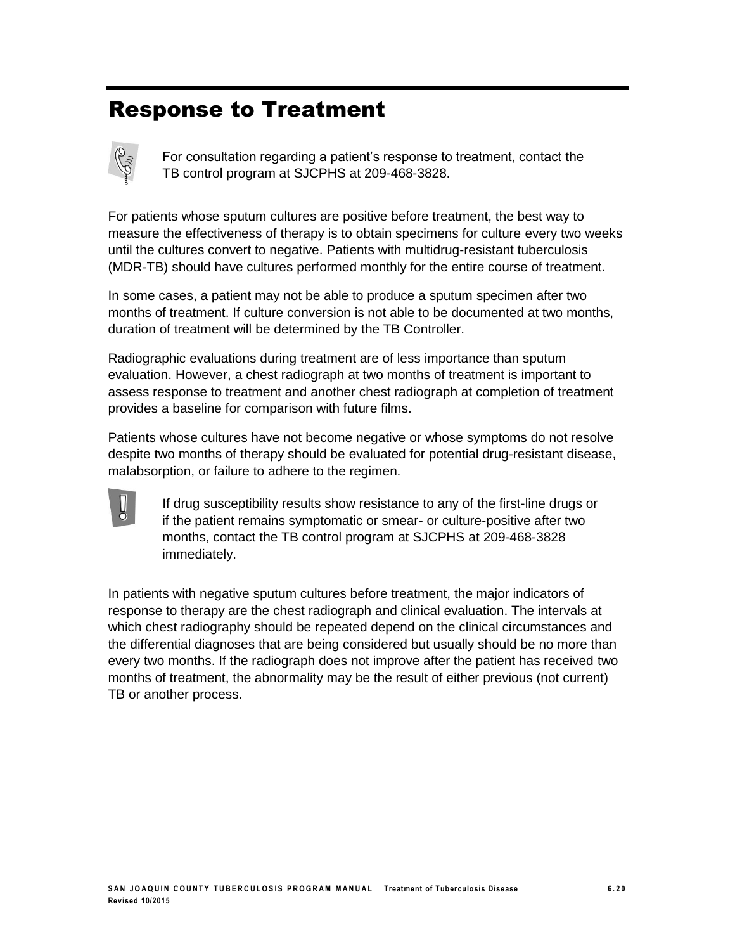# Response to Treatment



For consultation regarding a patient's response to treatment, contact the TB control program at SJCPHS at 209-468-3828.

For patients whose sputum cultures are positive before treatment, the best way to measure the effectiveness of therapy is to obtain specimens for culture every two weeks until the cultures convert to negative. Patients with multidrug-resistant tuberculosis (MDR-TB) should have cultures performed monthly for the entire course of treatment.

In some cases, a patient may not be able to produce a sputum specimen after two months of treatment. If culture conversion is not able to be documented at two months, duration of treatment will be determined by the TB Controller.

Radiographic evaluations during treatment are of less importance than sputum evaluation. However, a chest radiograph at two months of treatment is important to assess response to treatment and another chest radiograph at completion of treatment provides a baseline for comparison with future films.

Patients whose cultures have not become negative or whose symptoms do not resolve despite two months of therapy should be evaluated for potential drug-resistant disease, malabsorption, or failure to adhere to the regimen.



If drug susceptibility results show resistance to any of the first-line drugs or if the patient remains symptomatic or smear- or culture-positive after two months, contact the TB control program at SJCPHS at 209-468-3828 immediately.

In patients with negative sputum cultures before treatment, the major indicators of response to therapy are the chest radiograph and clinical evaluation. The intervals at which chest radiography should be repeated depend on the clinical circumstances and the differential diagnoses that are being considered but usually should be no more than every two months. If the radiograph does not improve after the patient has received two months of treatment, the abnormality may be the result of either previous (not current) TB or another process.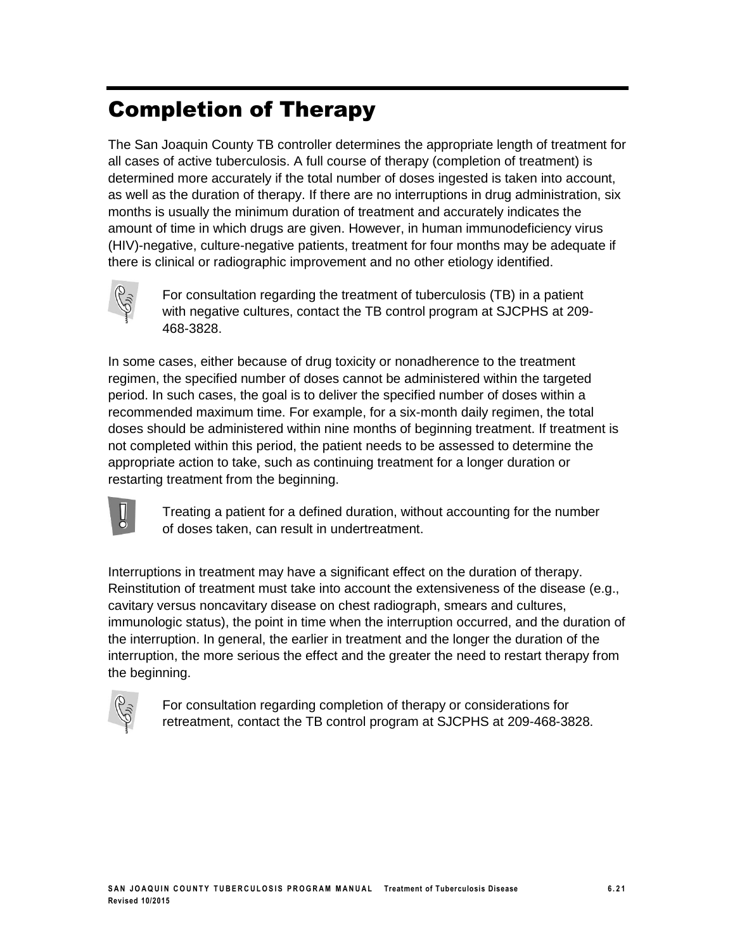# Completion of Therapy

The San Joaquin County TB controller determines the appropriate length of treatment for all cases of active tuberculosis. A full course of therapy (completion of treatment) is determined more accurately if the total number of doses ingested is taken into account, as well as the duration of therapy. If there are no interruptions in drug administration, six months is usually the minimum duration of treatment and accurately indicates the amount of time in which drugs are given. However, in human immunodeficiency virus (HIV)-negative, culture-negative patients, treatment for four months may be adequate if there is clinical or radiographic improvement and no other etiology identified.



For consultation regarding the treatment of tuberculosis (TB) in a patient with negative cultures, contact the TB control program at SJCPHS at 209- 468-3828.

In some cases, either because of drug toxicity or nonadherence to the treatment regimen, the specified number of doses cannot be administered within the targeted period. In such cases, the goal is to deliver the specified number of doses within a recommended maximum time. For example, for a six-month daily regimen, the total doses should be administered within nine months of beginning treatment. If treatment is not completed within this period, the patient needs to be assessed to determine the appropriate action to take, such as continuing treatment for a longer duration or restarting treatment from the beginning.



Treating a patient for a defined duration, without accounting for the number of doses taken, can result in undertreatment.

Interruptions in treatment may have a significant effect on the duration of therapy. Reinstitution of treatment must take into account the extensiveness of the disease (e.g., cavitary versus noncavitary disease on chest radiograph, smears and cultures, immunologic status), the point in time when the interruption occurred, and the duration of the interruption. In general, the earlier in treatment and the longer the duration of the interruption, the more serious the effect and the greater the need to restart therapy from the beginning.



For consultation regarding completion of therapy or considerations for retreatment, contact the TB control program at SJCPHS at 209-468-3828.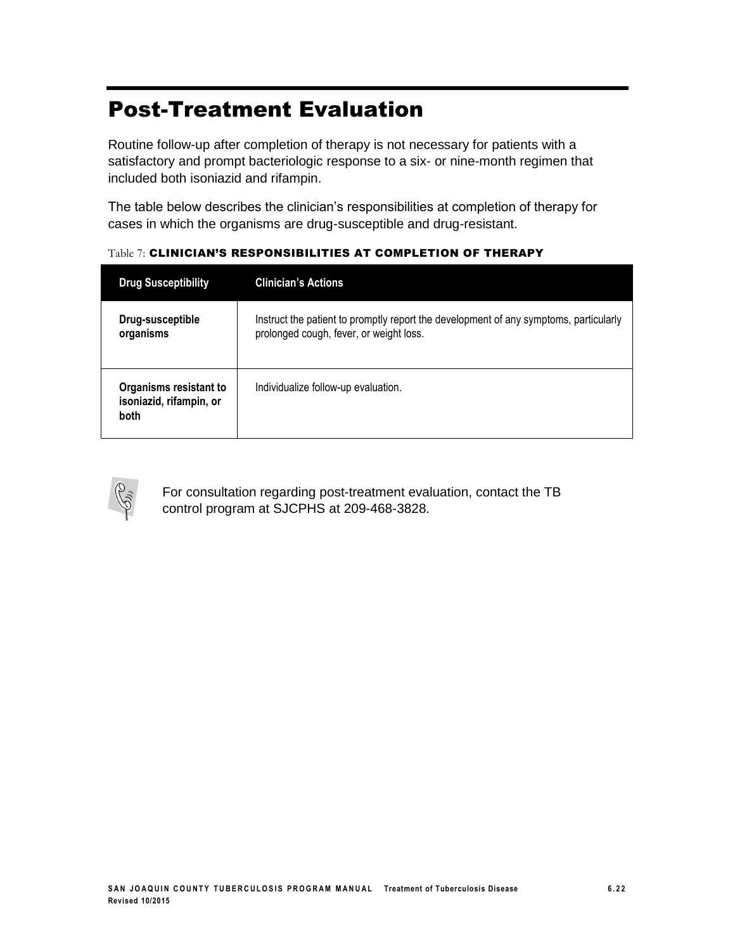# Post-Treatment Evaluation

Routine follow-up after completion of therapy is not necessary for patients with a satisfactory and prompt bacteriologic response to a six- or nine-month regimen that included both isoniazid and rifampin.

The table below describes the clinician's responsibilities at completion of therapy for cases in which the organisms are drug-susceptible and drug-resistant.

| <b>Drug Susceptibility</b>                                       | <b>Clinician's Actions</b>                                                                                                       |
|------------------------------------------------------------------|----------------------------------------------------------------------------------------------------------------------------------|
| Drug-susceptible<br>organisms                                    | Instruct the patient to promptly report the development of any symptoms, particularly<br>prolonged cough, fever, or weight loss. |
| Organisms resistant to<br>isoniazid, rifampin, or<br><b>both</b> | Individualize follow-up evaluation.                                                                                              |

Table 7: CLINICIAN'S RESPONSIBILITIES AT COMPLETION OF THERAPY



For consultation regarding post-treatment evaluation, contact the TB control program at SJCPHS at 209-468-3828.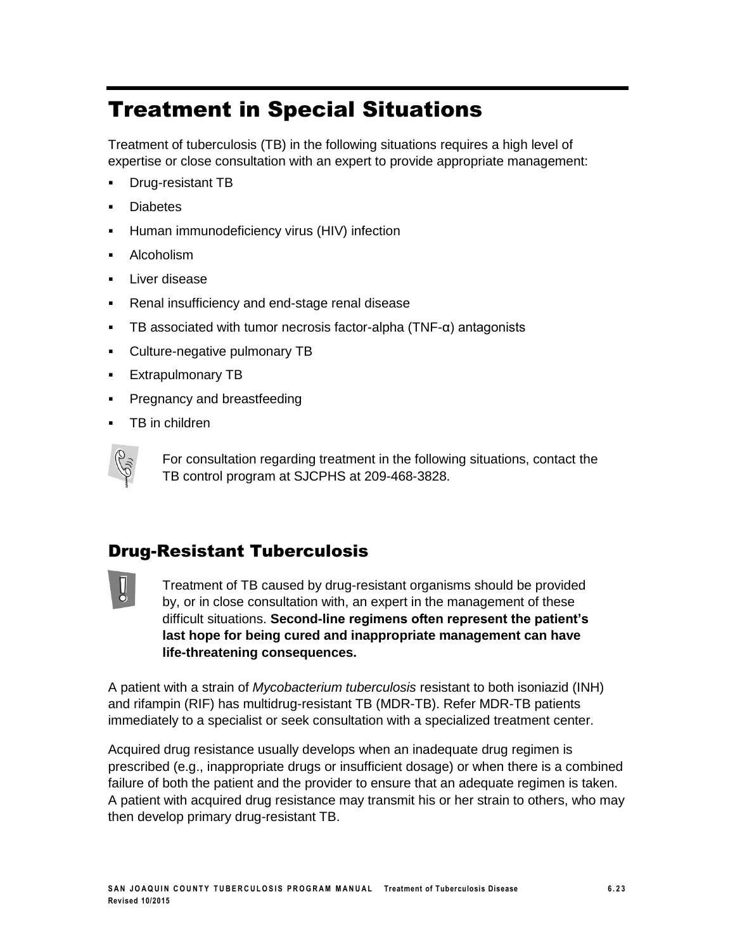# Treatment in Special Situations

Treatment of tuberculosis (TB) in the following situations requires a high level of expertise or close consultation with an expert to provide appropriate management:

- Drug-resistant TB
- **Diabetes**
- Human immunodeficiency virus (HIV) infection
- **Alcoholism**
- Liver disease
- Renal insufficiency and end-stage renal disease
- **TB** associated with tumor necrosis factor-alpha  $(TNF-<sub>α</sub>)$  antagonists
- Culture-negative pulmonary TB
- **Extrapulmonary TB**
- Pregnancy and breastfeeding
- TB in children



For consultation regarding treatment in the following situations, contact the TB control program at SJCPHS at 209-468-3828.

### Drug-Resistant Tuberculosis



Treatment of TB caused by drug-resistant organisms should be provided by, or in close consultation with, an expert in the management of these difficult situations. **Second-line regimens often represent the patient's last hope for being cured and inappropriate management can have life-threatening consequences.**

A patient with a strain of *Mycobacterium tuberculosis* resistant to both isoniazid (INH) and rifampin (RIF) has multidrug-resistant TB (MDR-TB). Refer MDR-TB patients immediately to a specialist or seek consultation with a specialized treatment center.

Acquired drug resistance usually develops when an inadequate drug regimen is prescribed (e.g., inappropriate drugs or insufficient dosage) or when there is a combined failure of both the patient and the provider to ensure that an adequate regimen is taken. A patient with acquired drug resistance may transmit his or her strain to others, who may then develop primary drug-resistant TB.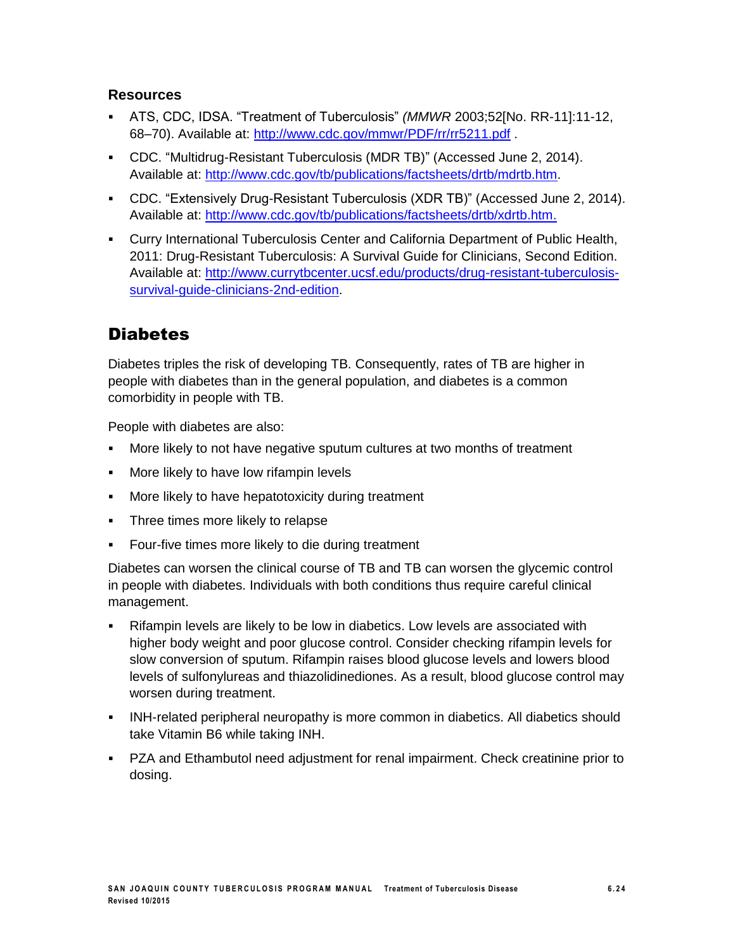#### **Resources**

- ATS, CDC, IDSA. "Treatment of Tuberculosis" *(MMWR* 2003;52[No. RR-11]:11-12, 68–70). Available at: <http://www.cdc.gov/mmwr/PDF/rr/rr5211.pdf> .
- CDC. "Multidrug-Resistant Tuberculosis (MDR TB)" (Accessed June 2, 2014). Available at: [http://www.cdc.gov/tb/publications/factsheets/drtb/mdrtb.htm.](http://www.cdc.gov/tb/publications/factsheets/drtb/mdrtb.htm)
- CDC. "Extensively Drug-Resistant Tuberculosis (XDR TB)" (Accessed June 2, 2014). Available at: [http://www.cdc.gov/tb/publications/factsheets/drtb/xdrtb.htm.](http://www.cdc.gov/tb/publications/factsheets/drtb/xdrtb.htm)
- Curry International Tuberculosis Center and California Department of Public Health, 2011: Drug-Resistant Tuberculosis: A Survival Guide for Clinicians, Second Edition. Available at: [http://www.currytbcenter.ucsf.edu/products/drug-resistant-tuberculosis](http://www.currytbcenter.ucsf.edu/products/drug-resistant-tuberculosis-survival-guide-clinicians-2nd-edition)survival-quide-clinicians-2nd-edition.

### **Diabetes**

Diabetes triples the risk of developing TB. Consequently, rates of TB are higher in people with diabetes than in the general population, and diabetes is a common comorbidity in people with TB.

People with diabetes are also:

- More likely to not have negative sputum cultures at two months of treatment
- More likely to have low rifampin levels
- **More likely to have hepatotoxicity during treatment**
- Three times more likely to relapse
- **Four-five times more likely to die during treatment**

Diabetes can worsen the clinical course of TB and TB can worsen the glycemic control in people with diabetes. Individuals with both conditions thus require careful clinical management.

- Rifampin levels are likely to be low in diabetics. Low levels are associated with higher body weight and poor glucose control. Consider checking rifampin levels for slow conversion of sputum. Rifampin raises blood glucose levels and lowers blood levels of sulfonylureas and thiazolidinediones. As a result, blood glucose control may worsen during treatment.
- INH-related peripheral neuropathy is more common in diabetics. All diabetics should take Vitamin B6 while taking INH.
- PZA and Ethambutol need adjustment for renal impairment. Check creatinine prior to dosing.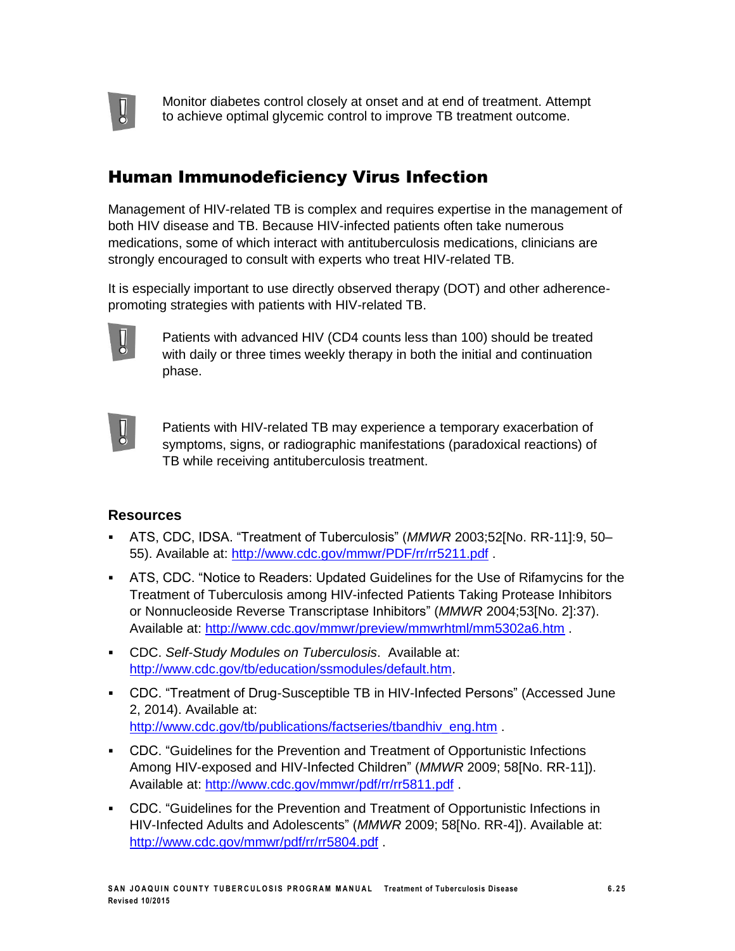

Monitor diabetes control closely at onset and at end of treatment. Attempt to achieve optimal glycemic control to improve TB treatment outcome.

### Human Immunodeficiency Virus Infection

Management of HIV-related TB is complex and requires expertise in the management of both HIV disease and TB. Because HIV-infected patients often take numerous medications, some of which interact with antituberculosis medications, clinicians are strongly encouraged to consult with experts who treat HIV-related TB.

It is especially important to use directly observed therapy (DOT) and other adherencepromoting strategies with patients with HIV-related TB.



Patients with advanced HIV (CD4 counts less than 100) should be treated with daily or three times weekly therapy in both the initial and continuation phase.



Patients with HIV-related TB may experience a temporary exacerbation of symptoms, signs, or radiographic manifestations (paradoxical reactions) of TB while receiving antituberculosis treatment.

- ATS, CDC, IDSA. "Treatment of Tuberculosis" (*MMWR* 2003;52[No. RR-11]:9, 50– 55). Available at: <http://www.cdc.gov/mmwr/PDF/rr/rr5211.pdf> .
- ATS, CDC. "Notice to Readers: Updated Guidelines for the Use of Rifamycins for the Treatment of Tuberculosis among HIV-infected Patients Taking Protease Inhibitors or Nonnucleoside Reverse Transcriptase Inhibitors" (*MMWR* 2004;53[No. 2]:37). Available at: <http://www.cdc.gov/mmwr/preview/mmwrhtml/mm5302a6.htm> .
- CDC. *Self-Study Modules on Tuberculosis*. Available at: [http://www.cdc.gov/tb/education/ssmodules/default.htm.](http://www.cdc.gov/tb/education/ssmodules/default.htm)
- CDC. "Treatment of Drug-Susceptible TB in HIV-Infected Persons" (Accessed June 2, 2014). Available at: [http://www.cdc.gov/tb/publications/factseries/tbandhiv\\_eng.htm](http://www.cdc.gov/tb/publications/factseries/tbandhiv_eng.htm) .
- CDC. "Guidelines for the Prevention and Treatment of Opportunistic Infections Among HIV-exposed and HIV-Infected Children" (*MMWR* 2009; 58[No. RR-11]). Available at: <http://www.cdc.gov/mmwr/pdf/rr/rr5811.pdf> .
- CDC. "Guidelines for the Prevention and Treatment of Opportunistic Infections in HIV-Infected Adults and Adolescents" (*MMWR* 2009; 58[No. RR-4]). Available at: <http://www.cdc.gov/mmwr/pdf/rr/rr5804.pdf> .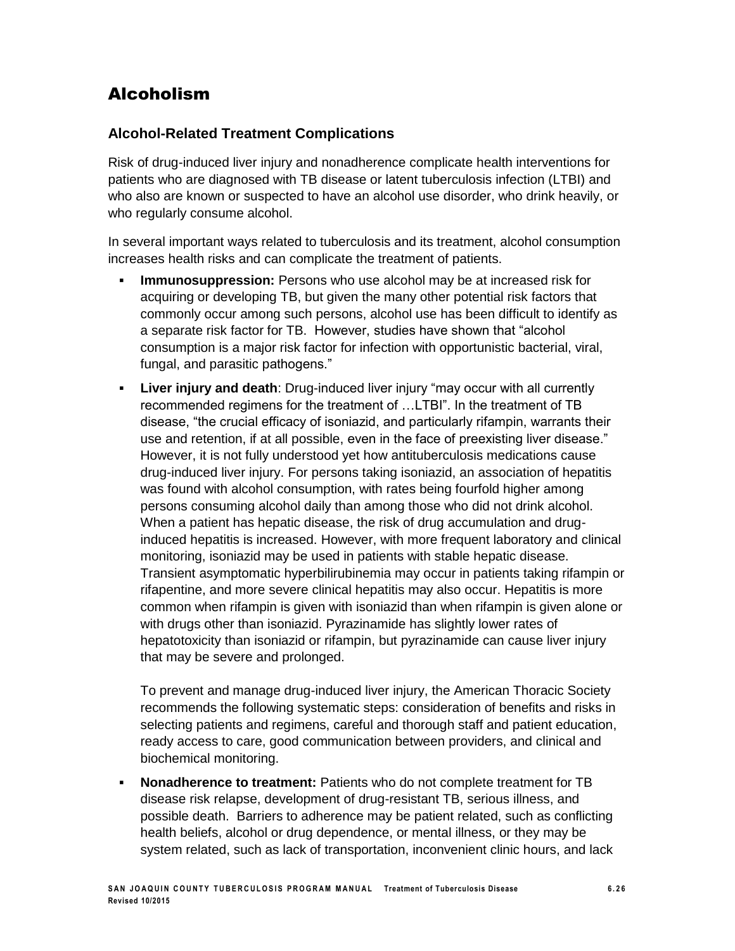### Alcoholism

#### **Alcohol-Related Treatment Complications**

Risk of drug-induced liver injury and nonadherence complicate health interventions for patients who are diagnosed with TB disease or latent tuberculosis infection (LTBI) and who also are known or suspected to have an alcohol use disorder, who drink heavily, or who regularly consume alcohol.

In several important ways related to tuberculosis and its treatment, alcohol consumption increases health risks and can complicate the treatment of patients.

- **Immunosuppression:** Persons who use alcohol may be at increased risk for acquiring or developing TB, but given the many other potential risk factors that commonly occur among such persons, alcohol use has been difficult to identify as a separate risk factor for TB. However, studies have shown that "alcohol consumption is a major risk factor for infection with opportunistic bacterial, viral, fungal, and parasitic pathogens."
- **Liver injury and death**: Drug-induced liver injury "may occur with all currently recommended regimens for the treatment of …LTBI". In the treatment of TB disease, "the crucial efficacy of isoniazid, and particularly rifampin, warrants their use and retention, if at all possible, even in the face of preexisting liver disease." However, it is not fully understood yet how antituberculosis medications cause drug-induced liver injury. For persons taking isoniazid, an association of hepatitis was found with alcohol consumption, with rates being fourfold higher among persons consuming alcohol daily than among those who did not drink alcohol. When a patient has hepatic disease, the risk of drug accumulation and druginduced hepatitis is increased. However, with more frequent laboratory and clinical monitoring, isoniazid may be used in patients with stable hepatic disease. Transient asymptomatic hyperbilirubinemia may occur in patients taking rifampin or rifapentine, and more severe clinical hepatitis may also occur. Hepatitis is more common when rifampin is given with isoniazid than when rifampin is given alone or with drugs other than isoniazid. Pyrazinamide has slightly lower rates of hepatotoxicity than isoniazid or rifampin, but pyrazinamide can cause liver injury that may be severe and prolonged.

To prevent and manage drug-induced liver injury, the American Thoracic Society recommends the following systematic steps: consideration of benefits and risks in selecting patients and regimens, careful and thorough staff and patient education, ready access to care, good communication between providers, and clinical and biochemical monitoring.

 **Nonadherence to treatment:** Patients who do not complete treatment for TB disease risk relapse, development of drug-resistant TB, serious illness, and possible death. Barriers to adherence may be patient related, such as conflicting health beliefs, alcohol or drug dependence, or mental illness, or they may be system related, such as lack of transportation, inconvenient clinic hours, and lack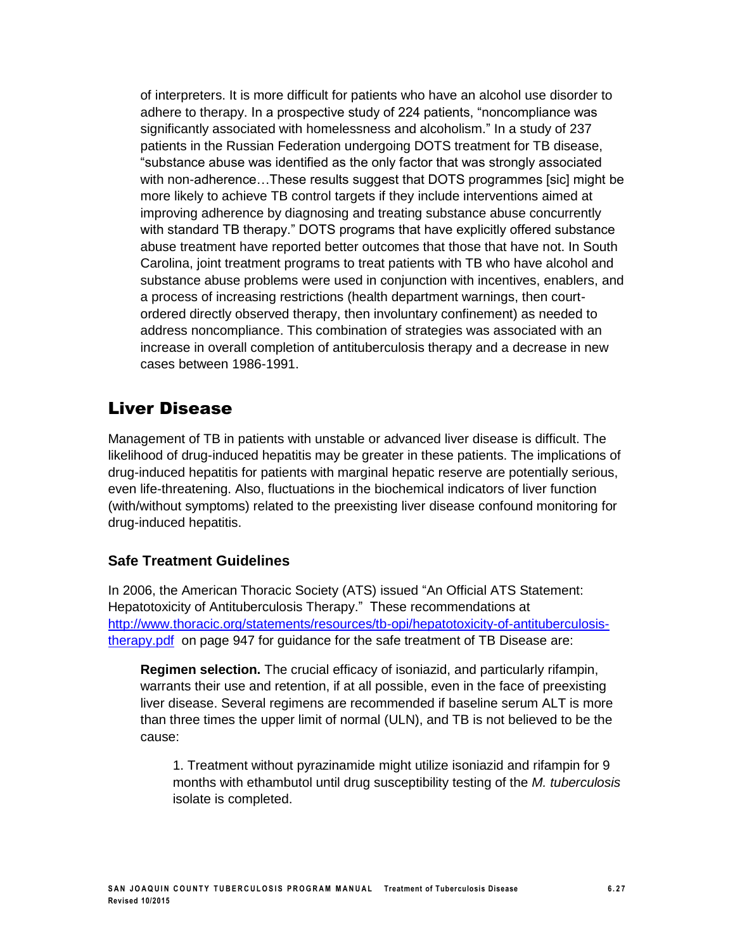of interpreters. It is more difficult for patients who have an alcohol use disorder to adhere to therapy. In a prospective study of 224 patients, "noncompliance was significantly associated with homelessness and alcoholism." In a study of 237 patients in the Russian Federation undergoing DOTS treatment for TB disease, "substance abuse was identified as the only factor that was strongly associated with non-adherence…These results suggest that DOTS programmes [sic] might be more likely to achieve TB control targets if they include interventions aimed at improving adherence by diagnosing and treating substance abuse concurrently with standard TB therapy." DOTS programs that have explicitly offered substance abuse treatment have reported better outcomes that those that have not. In South Carolina, joint treatment programs to treat patients with TB who have alcohol and substance abuse problems were used in conjunction with incentives, enablers, and a process of increasing restrictions (health department warnings, then courtordered directly observed therapy, then involuntary confinement) as needed to address noncompliance. This combination of strategies was associated with an increase in overall completion of antituberculosis therapy and a decrease in new cases between 1986-1991.

### Liver Disease

Management of TB in patients with unstable or advanced liver disease is difficult. The likelihood of drug-induced hepatitis may be greater in these patients. The implications of drug-induced hepatitis for patients with marginal hepatic reserve are potentially serious, even life-threatening. Also, fluctuations in the biochemical indicators of liver function (with/without symptoms) related to the preexisting liver disease confound monitoring for drug-induced hepatitis.

### **Safe Treatment Guidelines**

In 2006, the American Thoracic Society (ATS) issued "An Official ATS Statement: Hepatotoxicity of Antituberculosis Therapy." These recommendations at [http://www.thoracic.org/statements/resources/tb-opi/hepatotoxicity-of-antituberculosis](http://www.thoracic.org/statements/resources/tb-opi/hepatotoxicity-of-antituberculosis-therapy.pdf)[therapy.pdf](http://www.thoracic.org/statements/resources/tb-opi/hepatotoxicity-of-antituberculosis-therapy.pdf) on page 947 for guidance for the safe treatment of TB Disease are:

**Regimen selection.** The crucial efficacy of isoniazid, and particularly rifampin, warrants their use and retention, if at all possible, even in the face of preexisting liver disease. Several regimens are recommended if baseline serum ALT is more than three times the upper limit of normal (ULN), and TB is not believed to be the cause:

1. Treatment without pyrazinamide might utilize isoniazid and rifampin for 9 months with ethambutol until drug susceptibility testing of the *M. tuberculosis*  isolate is completed.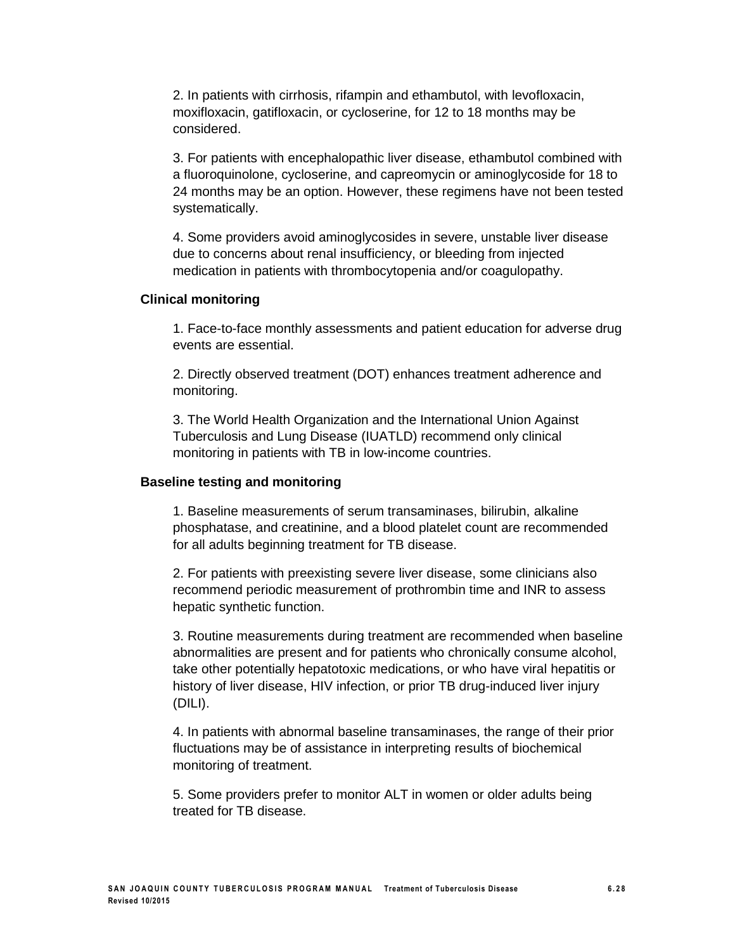2. In patients with cirrhosis, rifampin and ethambutol, with levofloxacin, moxifloxacin, gatifloxacin, or cycloserine, for 12 to 18 months may be considered.

3. For patients with encephalopathic liver disease, ethambutol combined with a fluoroquinolone, cycloserine, and capreomycin or aminoglycoside for 18 to 24 months may be an option. However, these regimens have not been tested systematically.

4. Some providers avoid aminoglycosides in severe, unstable liver disease due to concerns about renal insufficiency, or bleeding from injected medication in patients with thrombocytopenia and/or coagulopathy.

#### **Clinical monitoring**

1. Face-to-face monthly assessments and patient education for adverse drug events are essential.

2. Directly observed treatment (DOT) enhances treatment adherence and monitoring.

3. The World Health Organization and the International Union Against Tuberculosis and Lung Disease (IUATLD) recommend only clinical monitoring in patients with TB in low-income countries.

#### **Baseline testing and monitoring**

1. Baseline measurements of serum transaminases, bilirubin, alkaline phosphatase, and creatinine, and a blood platelet count are recommended for all adults beginning treatment for TB disease.

2. For patients with preexisting severe liver disease, some clinicians also recommend periodic measurement of prothrombin time and INR to assess hepatic synthetic function.

3. Routine measurements during treatment are recommended when baseline abnormalities are present and for patients who chronically consume alcohol, take other potentially hepatotoxic medications, or who have viral hepatitis or history of liver disease, HIV infection, or prior TB drug-induced liver injury (DILI).

4. In patients with abnormal baseline transaminases, the range of their prior fluctuations may be of assistance in interpreting results of biochemical monitoring of treatment.

5. Some providers prefer to monitor ALT in women or older adults being treated for TB disease.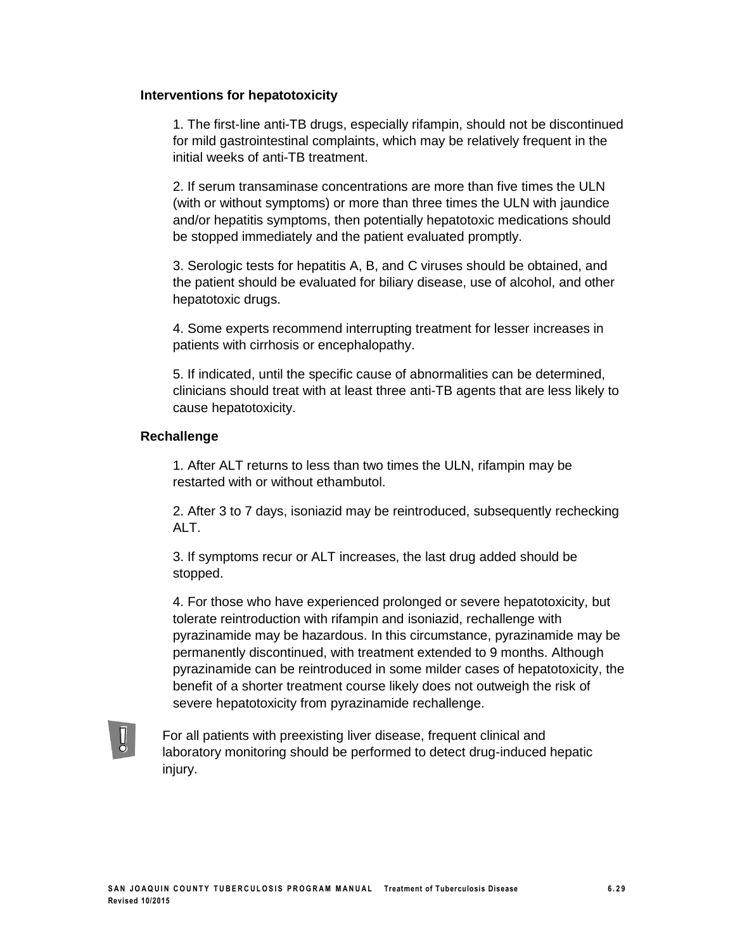#### **Interventions for hepatotoxicity**

1. The first-line anti-TB drugs, especially rifampin, should not be discontinued for mild gastrointestinal complaints, which may be relatively frequent in the initial weeks of anti-TB treatment.

2. If serum transaminase concentrations are more than five times the ULN (with or without symptoms) or more than three times the ULN with jaundice and/or hepatitis symptoms, then potentially hepatotoxic medications should be stopped immediately and the patient evaluated promptly.

3. Serologic tests for hepatitis A, B, and C viruses should be obtained, and the patient should be evaluated for biliary disease, use of alcohol, and other hepatotoxic drugs.

4. Some experts recommend interrupting treatment for lesser increases in patients with cirrhosis or encephalopathy.

5. If indicated, until the specific cause of abnormalities can be determined, clinicians should treat with at least three anti-TB agents that are less likely to cause hepatotoxicity.

#### **Rechallenge**

1. After ALT returns to less than two times the ULN, rifampin may be restarted with or without ethambutol.

2. After 3 to 7 days, isoniazid may be reintroduced, subsequently rechecking ALT.

3. If symptoms recur or ALT increases, the last drug added should be stopped.

4. For those who have experienced prolonged or severe hepatotoxicity, but tolerate reintroduction with rifampin and isoniazid, rechallenge with pyrazinamide may be hazardous. In this circumstance, pyrazinamide may be permanently discontinued, with treatment extended to 9 months. Although pyrazinamide can be reintroduced in some milder cases of hepatotoxicity, the benefit of a shorter treatment course likely does not outweigh the risk of severe hepatotoxicity from pyrazinamide rechallenge.



For all patients with preexisting liver disease, frequent clinical and laboratory monitoring should be performed to detect drug-induced hepatic injury.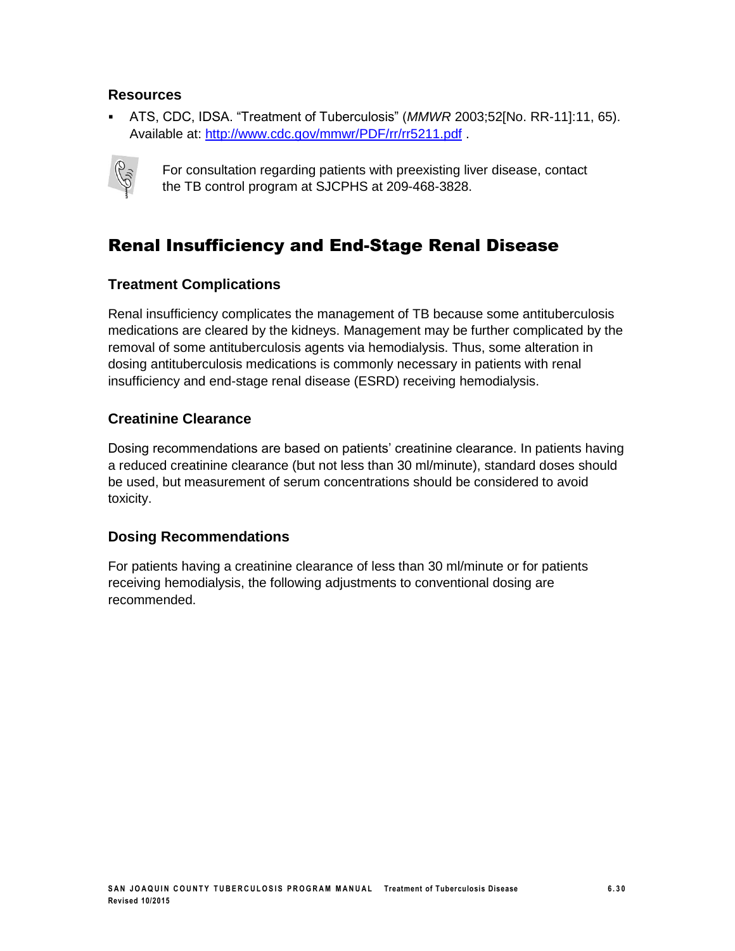#### **Resources**

 ATS, CDC, IDSA. "Treatment of Tuberculosis" (*MMWR* 2003;52[No. RR-11]:11, 65). Available at: <http://www.cdc.gov/mmwr/PDF/rr/rr5211.pdf> .



For consultation regarding patients with preexisting liver disease, contact the TB control program at SJCPHS at 209-468-3828.

### Renal Insufficiency and End-Stage Renal Disease

### **Treatment Complications**

Renal insufficiency complicates the management of TB because some antituberculosis medications are cleared by the kidneys. Management may be further complicated by the removal of some antituberculosis agents via hemodialysis. Thus, some alteration in dosing antituberculosis medications is commonly necessary in patients with renal insufficiency and end-stage renal disease (ESRD) receiving hemodialysis.

### **Creatinine Clearance**

Dosing recommendations are based on patients' creatinine clearance. In patients having a reduced creatinine clearance (but not less than 30 ml/minute), standard doses should be used, but measurement of serum concentrations should be considered to avoid toxicity.

#### **Dosing Recommendations**

For patients having a creatinine clearance of less than 30 ml/minute or for patients receiving hemodialysis, the following adjustments to conventional dosing are recommended.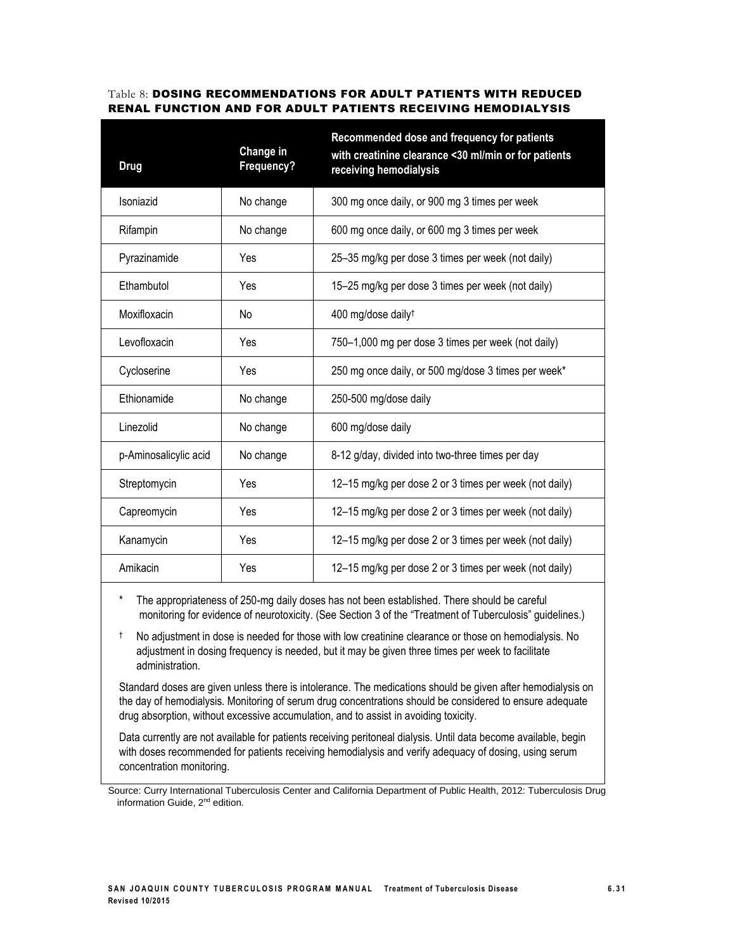#### Table 8: DOSING RECOMMENDATIONS FOR ADULT PATIENTS WITH REDUCED RENAL FUNCTION AND FOR ADULT PATIENTS RECEIVING HEMODIALYSIS

| Change in<br>Frequency? | Recommended dose and frequency for patients<br>with creatinine clearance <30 ml/min or for patients<br>receiving hemodialysis |
|-------------------------|-------------------------------------------------------------------------------------------------------------------------------|
| No change               | 300 mg once daily, or 900 mg 3 times per week                                                                                 |
| No change               | 600 mg once daily, or 600 mg 3 times per week                                                                                 |
| Yes                     | 25-35 mg/kg per dose 3 times per week (not daily)                                                                             |
| Yes                     | 15-25 mg/kg per dose 3 times per week (not daily)                                                                             |
| No                      | 400 mg/dose daily <sup>t</sup>                                                                                                |
| Yes                     | 750–1,000 mg per dose 3 times per week (not daily)                                                                            |
| Yes                     | 250 mg once daily, or 500 mg/dose 3 times per week*                                                                           |
| No change               | 250-500 mg/dose daily                                                                                                         |
| No change               | 600 mg/dose daily                                                                                                             |
| No change               | 8-12 g/day, divided into two-three times per day                                                                              |
| Yes                     | 12-15 mg/kg per dose 2 or 3 times per week (not daily)                                                                        |
| Yes                     | 12-15 mg/kg per dose 2 or 3 times per week (not daily)                                                                        |
| Yes                     | 12-15 mg/kg per dose 2 or 3 times per week (not daily)                                                                        |
| Yes                     | 12–15 mg/kg per dose 2 or 3 times per week (not daily)                                                                        |
|                         |                                                                                                                               |

The appropriateness of 250-mg daily doses has not been established. There should be careful monitoring for evidence of neurotoxicity. (See Section 3 of the "Treatment of Tuberculosis" guidelines.)

† No adjustment in dose is needed for those with low creatinine clearance or those on hemodialysis. No adjustment in dosing frequency is needed, but it may be given three times per week to facilitate administration.

Standard doses are given unless there is intolerance. The medications should be given after hemodialysis on the day of hemodialysis. Monitoring of serum drug concentrations should be considered to ensure adequate drug absorption, without excessive accumulation, and to assist in avoiding toxicity.

Data currently are not available for patients receiving peritoneal dialysis. Until data become available, begin with doses recommended for patients receiving hemodialysis and verify adequacy of dosing, using serum concentration monitoring.

Source: Curry International Tuberculosis Center and California Department of Public Health, 2012: Tuberculosis Drug information Guide, 2<sup>nd</sup> edition.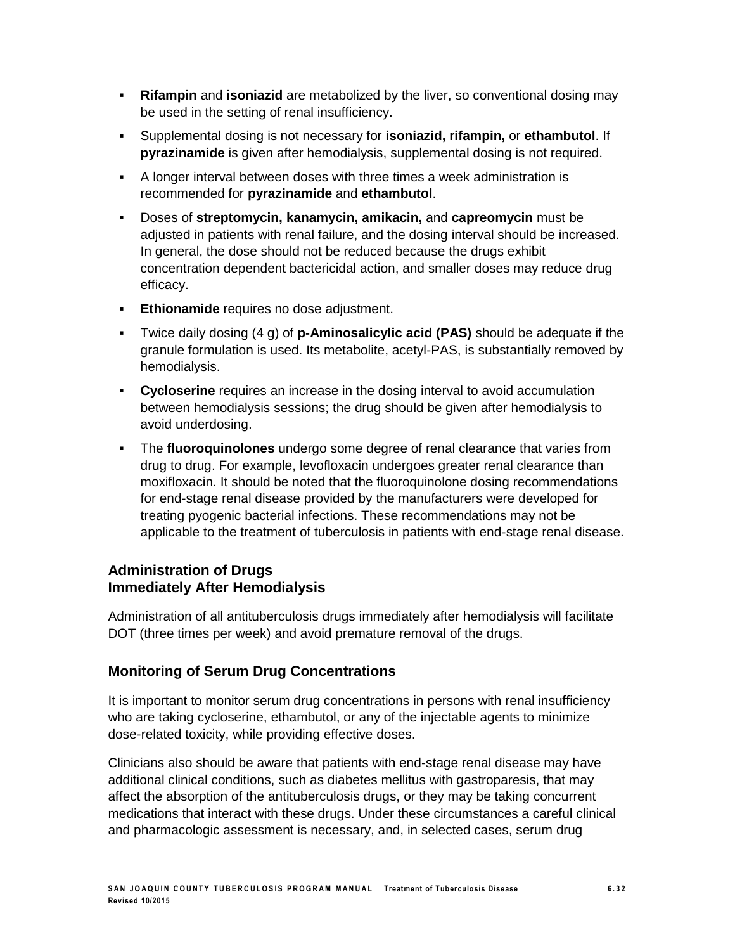- **Rifampin** and **isoniazid** are metabolized by the liver, so conventional dosing may be used in the setting of renal insufficiency.
- Supplemental dosing is not necessary for **isoniazid, rifampin,** or **ethambutol**. If **pyrazinamide** is given after hemodialysis, supplemental dosing is not required.
- A longer interval between doses with three times a week administration is recommended for **pyrazinamide** and **ethambutol**.
- Doses of **streptomycin, kanamycin, amikacin,** and **capreomycin** must be adjusted in patients with renal failure, and the dosing interval should be increased. In general, the dose should not be reduced because the drugs exhibit concentration dependent bactericidal action, and smaller doses may reduce drug efficacy.
- **Ethionamide** requires no dose adjustment.
- Twice daily dosing (4 g) of **p-Aminosalicylic acid (PAS)** should be adequate if the granule formulation is used. Its metabolite, acetyl-PAS, is substantially removed by hemodialysis.
- **Cycloserine** requires an increase in the dosing interval to avoid accumulation between hemodialysis sessions; the drug should be given after hemodialysis to avoid underdosing.
- The **fluoroquinolones** undergo some degree of renal clearance that varies from drug to drug. For example, levofloxacin undergoes greater renal clearance than moxifloxacin. It should be noted that the fluoroquinolone dosing recommendations for end-stage renal disease provided by the manufacturers were developed for treating pyogenic bacterial infections. These recommendations may not be applicable to the treatment of tuberculosis in patients with end-stage renal disease.

#### **Administration of Drugs Immediately After Hemodialysis**

Administration of all antituberculosis drugs immediately after hemodialysis will facilitate DOT (three times per week) and avoid premature removal of the drugs.

#### **Monitoring of Serum Drug Concentrations**

It is important to monitor serum drug concentrations in persons with renal insufficiency who are taking cycloserine, ethambutol, or any of the injectable agents to minimize dose-related toxicity, while providing effective doses.

Clinicians also should be aware that patients with end-stage renal disease may have additional clinical conditions, such as diabetes mellitus with gastroparesis, that may affect the absorption of the antituberculosis drugs, or they may be taking concurrent medications that interact with these drugs. Under these circumstances a careful clinical and pharmacologic assessment is necessary, and, in selected cases, serum drug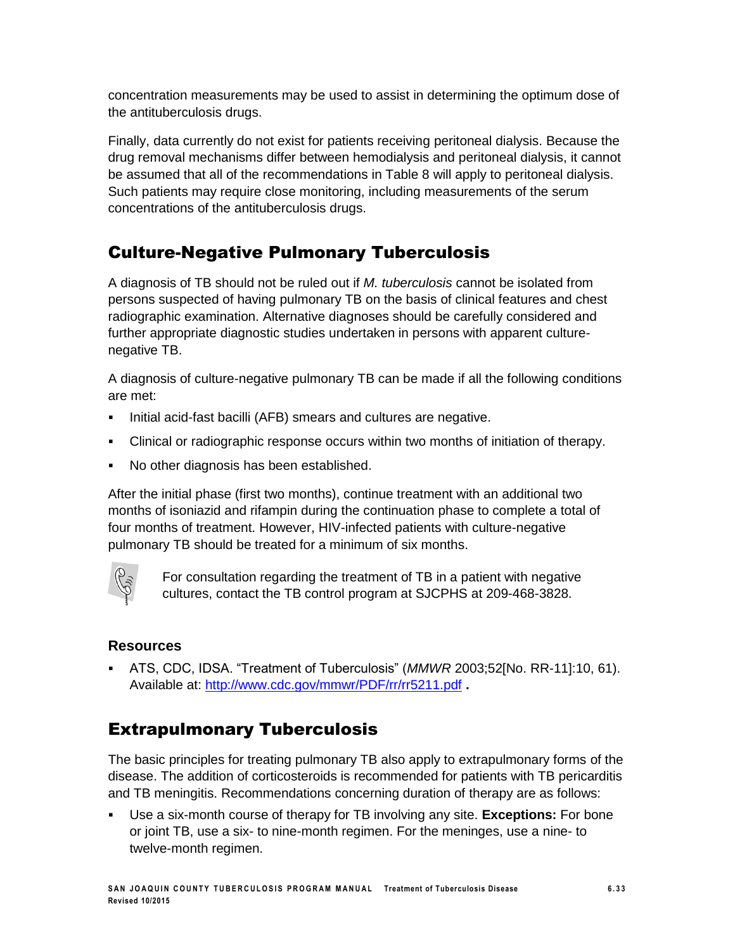concentration measurements may be used to assist in determining the optimum dose of the antituberculosis drugs.

Finally, data currently do not exist for patients receiving peritoneal dialysis. Because the drug removal mechanisms differ between hemodialysis and peritoneal dialysis, it cannot be assumed that all of the recommendations in Table 8 will apply to peritoneal dialysis. Such patients may require close monitoring, including measurements of the serum concentrations of the antituberculosis drugs.

### Culture-Negative Pulmonary Tuberculosis

A diagnosis of TB should not be ruled out if *M. tuberculosis* cannot be isolated from persons suspected of having pulmonary TB on the basis of clinical features and chest radiographic examination. Alternative diagnoses should be carefully considered and further appropriate diagnostic studies undertaken in persons with apparent culturenegative TB.

A diagnosis of culture-negative pulmonary TB can be made if all the following conditions are met:

- **Initial acid-fast bacilli (AFB) smears and cultures are negative.**
- Clinical or radiographic response occurs within two months of initiation of therapy.
- No other diagnosis has been established.

After the initial phase (first two months), continue treatment with an additional two months of isoniazid and rifampin during the continuation phase to complete a total of four months of treatment. However, HIV-infected patients with culture-negative pulmonary TB should be treated for a minimum of six months.



For consultation regarding the treatment of TB in a patient with negative cultures, contact the TB control program at SJCPHS at 209-468-3828.

#### **Resources**

 ATS, CDC, IDSA. "Treatment of Tuberculosis" (*MMWR* 2003;52[No. RR-11]:10, 61). Available at: <http://www.cdc.gov/mmwr/PDF/rr/rr5211.pdf> **.**

### Extrapulmonary Tuberculosis

The basic principles for treating pulmonary TB also apply to extrapulmonary forms of the disease. The addition of corticosteroids is recommended for patients with TB pericarditis and TB meningitis. Recommendations concerning duration of therapy are as follows:

 Use a six-month course of therapy for TB involving any site. **Exceptions:** For bone or joint TB, use a six- to nine-month regimen. For the meninges, use a nine- to twelve-month regimen.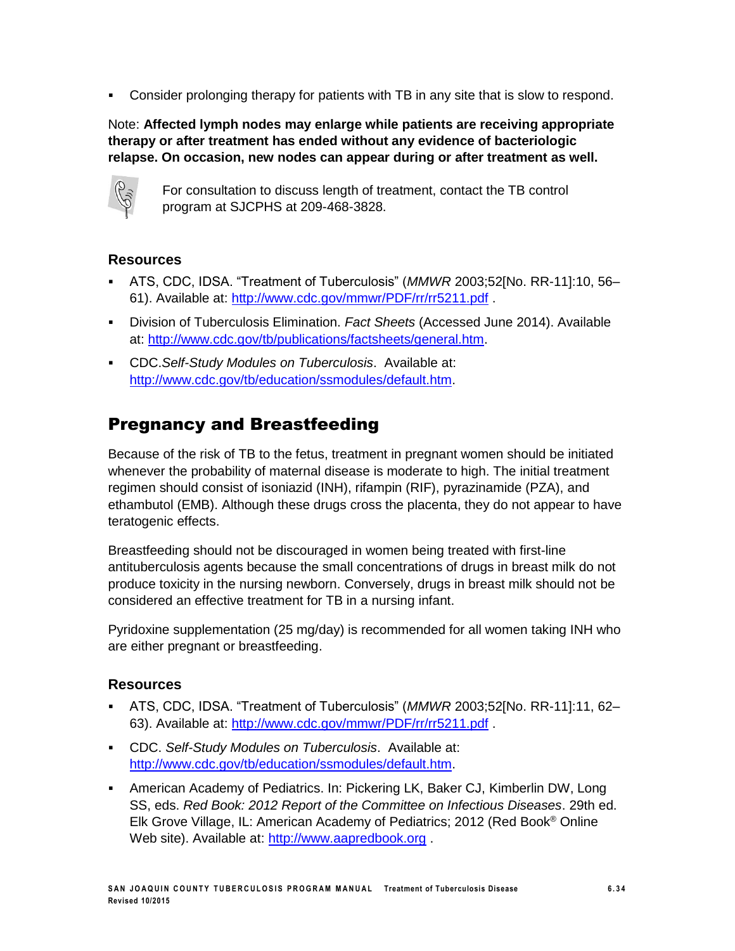Consider prolonging therapy for patients with TB in any site that is slow to respond.

Note: **Affected lymph nodes may enlarge while patients are receiving appropriate therapy or after treatment has ended without any evidence of bacteriologic relapse. On occasion, new nodes can appear during or after treatment as well.**



For consultation to discuss length of treatment, contact the TB control program at SJCPHS at 209-468-3828.

### **Resources**

- ATS, CDC, IDSA. "Treatment of Tuberculosis" (*MMWR* 2003;52[No. RR-11]:10, 56– 61). Available at: <http://www.cdc.gov/mmwr/PDF/rr/rr5211.pdf> .
- Division of Tuberculosis Elimination. *Fact Sheets* (Accessed June 2014). Available at: http://www.cdc.gov/tb/publications/factsheets/general.htm.
- CDC.*Self-Study Modules on Tuberculosis*. Available at: [http://www.cdc.gov/tb/education/ssmodules/default.htm.](http://www.cdc.gov/tb/education/ssmodules/default.htm)

### Pregnancy and Breastfeeding

Because of the risk of TB to the fetus, treatment in pregnant women should be initiated whenever the probability of maternal disease is moderate to high. The initial treatment regimen should consist of isoniazid (INH), rifampin (RIF), pyrazinamide (PZA), and ethambutol (EMB). Although these drugs cross the placenta, they do not appear to have teratogenic effects.

Breastfeeding should not be discouraged in women being treated with first-line antituberculosis agents because the small concentrations of drugs in breast milk do not produce toxicity in the nursing newborn. Conversely, drugs in breast milk should not be considered an effective treatment for TB in a nursing infant.

Pyridoxine supplementation (25 mg/day) is recommended for all women taking INH who are either pregnant or breastfeeding.

- ATS, CDC, IDSA. "Treatment of Tuberculosis" (*MMWR* 2003;52[No. RR-11]:11, 62– 63). Available at: <http://www.cdc.gov/mmwr/PDF/rr/rr5211.pdf> .
- CDC. *Self-Study Modules on Tuberculosis*. Available at: [http://www.cdc.gov/tb/education/ssmodules/default.htm.](http://www.cdc.gov/tb/education/ssmodules/default.htm)
- American Academy of Pediatrics. In: Pickering LK, Baker CJ, Kimberlin DW, Long SS, eds. *Red Book: 2012 Report of the Committee on Infectious Diseases*. 29th ed. Elk Grove Village, IL: American Academy of Pediatrics; 2012 (Red Book® Online Web site). Available at: [http://www.aapredbook.org](http://www.aapredbook.org/).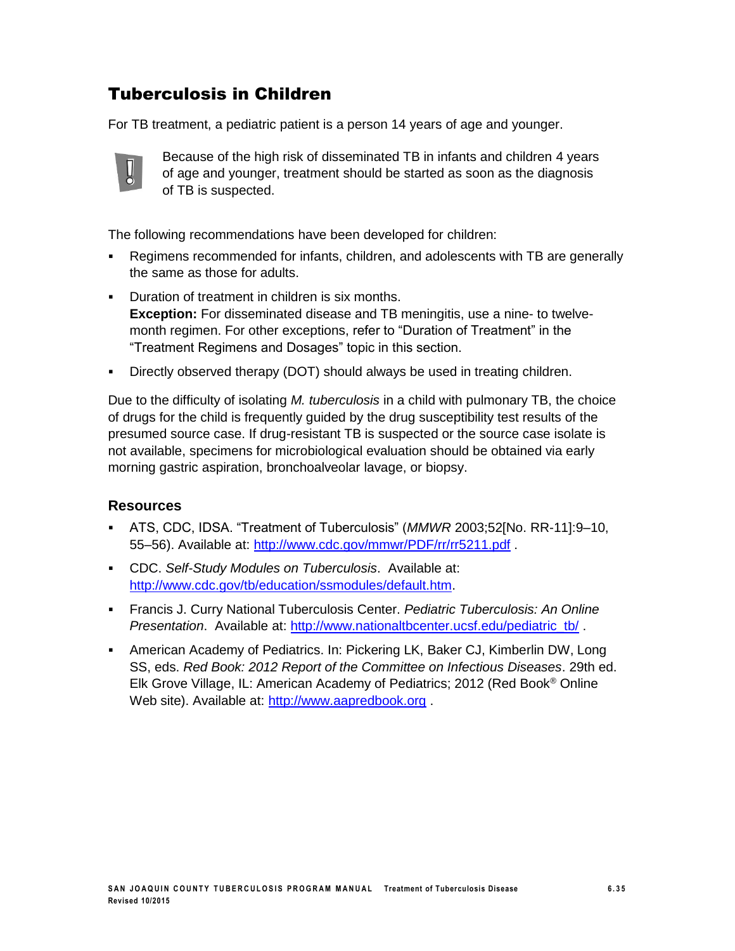### Tuberculosis in Children

For TB treatment, a pediatric patient is a person 14 years of age and younger.



Because of the high risk of disseminated TB in infants and children 4 years of age and younger, treatment should be started as soon as the diagnosis of TB is suspected.

The following recommendations have been developed for children:

- Regimens recommended for infants, children, and adolescents with TB are generally the same as those for adults.
- **Duration of treatment in children is six months. Exception:** For disseminated disease and TB meningitis, use a nine- to twelvemonth regimen. For other exceptions, refer to "Duration of Treatment" in the "Treatment Regimens and Dosages" topic in this section.
- Directly observed therapy (DOT) should always be used in treating children.

Due to the difficulty of isolating *M. tuberculosis* in a child with pulmonary TB, the choice of drugs for the child is frequently guided by the drug susceptibility test results of the presumed source case. If drug-resistant TB is suspected or the source case isolate is not available, specimens for microbiological evaluation should be obtained via early morning gastric aspiration, bronchoalveolar lavage, or biopsy.

- ATS, CDC, IDSA. "Treatment of Tuberculosis" (*MMWR* 2003;52[No. RR-11]:9–10, 55–56). Available at: <http://www.cdc.gov/mmwr/PDF/rr/rr5211.pdf> .
- CDC. *Self-Study Modules on Tuberculosis*. Available at: [http://www.cdc.gov/tb/education/ssmodules/default.htm.](http://www.cdc.gov/tb/education/ssmodules/default.htm)
- Francis J. Curry National Tuberculosis Center. *Pediatric Tuberculosis: An Online Presentation*. Available at: [http://www.nationaltbcenter.ucsf.edu/pediatric\\_tb/](http://www.nationaltbcenter.ucsf.edu/pediatric_tb/).
- American Academy of Pediatrics. In: Pickering LK, Baker CJ, Kimberlin DW, Long SS, eds. *Red Book: 2012 Report of the Committee on Infectious Diseases*. 29th ed. Elk Grove Village, IL: American Academy of Pediatrics; 2012 (Red Book® Online Web site). Available at: [http://www.aapredbook.org](http://www.aapredbook.org/).